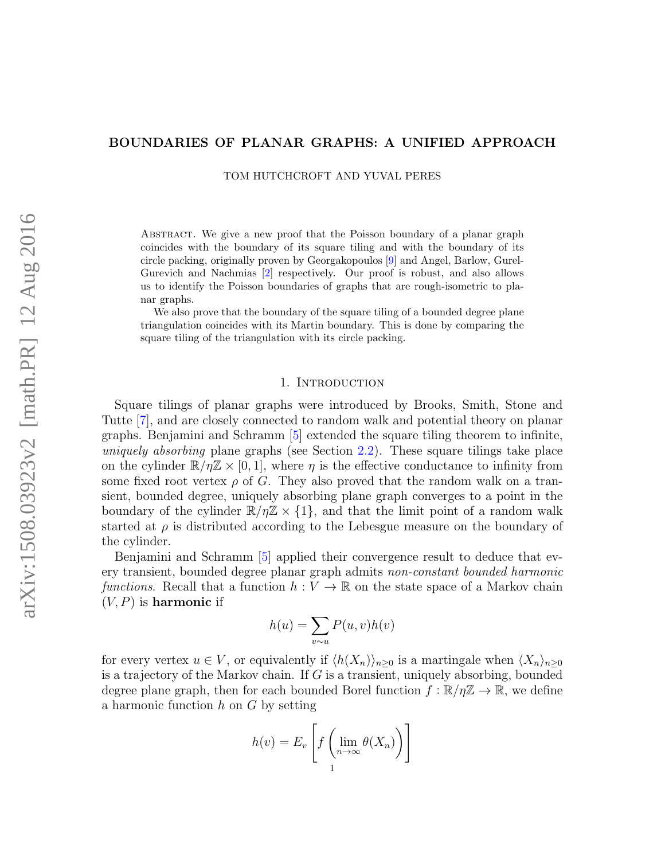## BOUNDARIES OF PLANAR GRAPHS: A UNIFIED APPROACH

TOM HUTCHCROFT AND YUVAL PERES

Abstract. We give a new proof that the Poisson boundary of a planar graph coincides with the boundary of its square tiling and with the boundary of its circle packing, originally proven by Georgakopoulos [\[9\]](#page-20-0) and Angel, Barlow, Gurel-Gurevich and Nachmias [\[2\]](#page-20-1) respectively. Our proof is robust, and also allows us to identify the Poisson boundaries of graphs that are rough-isometric to planar graphs.

We also prove that the boundary of the square tiling of a bounded degree plane triangulation coincides with its Martin boundary. This is done by comparing the square tiling of the triangulation with its circle packing.

## 1. Introduction

Square tilings of planar graphs were introduced by Brooks, Smith, Stone and Tutte [\[7\]](#page-20-2), and are closely connected to random walk and potential theory on planar graphs. Benjamini and Schramm [\[5\]](#page-20-3) extended the square tiling theorem to infinite, uniquely absorbing plane graphs (see Section [2.2\)](#page-6-0). These square tilings take place on the cylinder  $\mathbb{R}/\eta\mathbb{Z} \times [0,1]$ , where  $\eta$  is the effective conductance to infinity from some fixed root vertex  $\rho$  of G. They also proved that the random walk on a transient, bounded degree, uniquely absorbing plane graph converges to a point in the boundary of the cylinder  $\mathbb{R}/\eta\mathbb{Z} \times \{1\}$ , and that the limit point of a random walk started at  $\rho$  is distributed according to the Lebesgue measure on the boundary of the cylinder.

Benjamini and Schramm [\[5\]](#page-20-3) applied their convergence result to deduce that every transient, bounded degree planar graph admits non-constant bounded harmonic functions. Recall that a function  $h: V \to \mathbb{R}$  on the state space of a Markov chain  $(V, P)$  is harmonic if

$$
h(u) = \sum_{v \sim u} P(u, v)h(v)
$$

for every vertex  $u \in V$ , or equivalently if  $\langle h(X_n) \rangle_{n\geq 0}$  is a martingale when  $\langle X_n \rangle_{n\geq 0}$ is a trajectory of the Markov chain. If  $G$  is a transient, uniquely absorbing, bounded degree plane graph, then for each bounded Borel function  $f : \mathbb{R}/\eta\mathbb{Z} \to \mathbb{R}$ , we define a harmonic function  $h$  on  $G$  by setting

$$
h(v) = E_v \left[ f \left( \lim_{n \to \infty} \theta(X_n) \right) \right]
$$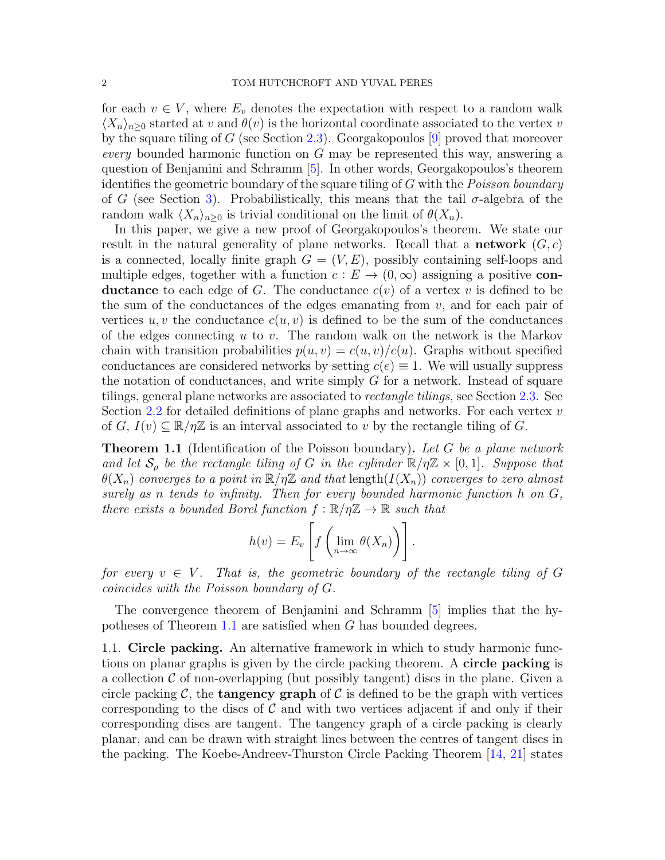for each  $v \in V$ , where  $E_v$  denotes the expectation with respect to a random walk  $\langle X_n \rangle_{n\geq 0}$  started at v and  $\theta(v)$  is the horizontal coordinate associated to the vertex v by the square tiling of G (see Section [2.3\)](#page-6-1). Georgakopoulos [\[9\]](#page-20-0) proved that moreover every bounded harmonic function on  $G$  may be represented this way, answering a question of Benjamini and Schramm [\[5\]](#page-20-3). In other words, Georgakopoulos's theorem identifies the geometric boundary of the square tiling of G with the *Poisson boundary* of G (see Section [3\)](#page-7-0). Probabilistically, this means that the tail  $\sigma$ -algebra of the random walk  $\langle X_n \rangle_{n>0}$  is trivial conditional on the limit of  $\theta(X_n)$ .

In this paper, we give a new proof of Georgakopoulos's theorem. We state our result in the natural generality of plane networks. Recall that a **network**  $(G, c)$ is a connected, locally finite graph  $G = (V, E)$ , possibly containing self-loops and multiple edges, together with a function  $c : E \to (0, \infty)$  assigning a positive con**ductance** to each edge of G. The conductance  $c(v)$  of a vertex v is defined to be the sum of the conductances of the edges emanating from  $v$ , and for each pair of vertices  $u, v$  the conductance  $c(u, v)$  is defined to be the sum of the conductances of the edges connecting  $u$  to  $v$ . The random walk on the network is the Markov chain with transition probabilities  $p(u, v) = c(u, v)/c(u)$ . Graphs without specified conductances are considered networks by setting  $c(e) \equiv 1$ . We will usually suppress the notation of conductances, and write simply  $G$  for a network. Instead of square tilings, general plane networks are associated to rectangle tilings, see Section [2.3.](#page-6-1) See Section  $2.2$  for detailed definitions of plane graphs and networks. For each vertex  $v$ of  $G, I(v) \subseteq \mathbb{R}/\eta\mathbb{Z}$  is an interval associated to v by the rectangle tiling of G.

<span id="page-1-0"></span>**Theorem 1.1** (Identification of the Poisson boundary). Let G be a plane network and let  $S_\rho$  be the rectangle tiling of G in the cylinder  $\mathbb{R}/\eta\mathbb{Z} \times [0,1]$ . Suppose that  $\theta(X_n)$  converges to a point in  $\mathbb{R}/n\mathbb{Z}$  and that length $(I(X_n))$  converges to zero almost surely as n tends to infinity. Then for every bounded harmonic function h on  $G$ , there exists a bounded Borel function  $f : \mathbb{R}/\eta\mathbb{Z} \to \mathbb{R}$  such that

$$
h(v) = E_v \left[ f \left( \lim_{n \to \infty} \theta(X_n) \right) \right].
$$

for every  $v \in V$ . That is, the geometric boundary of the rectangle tiling of G coincides with the Poisson boundary of G.

The convergence theorem of Benjamini and Schramm [\[5\]](#page-20-3) implies that the hypotheses of Theorem [1.1](#page-1-0) are satisfied when G has bounded degrees.

1.1. Circle packing. An alternative framework in which to study harmonic functions on planar graphs is given by the circle packing theorem. A circle packing is a collection  $\mathcal C$  of non-overlapping (but possibly tangent) discs in the plane. Given a circle packing C, the **tangency graph** of C is defined to be the graph with vertices corresponding to the discs of  $\mathcal C$  and with two vertices adjacent if and only if their corresponding discs are tangent. The tangency graph of a circle packing is clearly planar, and can be drawn with straight lines between the centres of tangent discs in the packing. The Koebe-Andreev-Thurston Circle Packing Theorem [\[14,](#page-20-4) [21\]](#page-20-5) states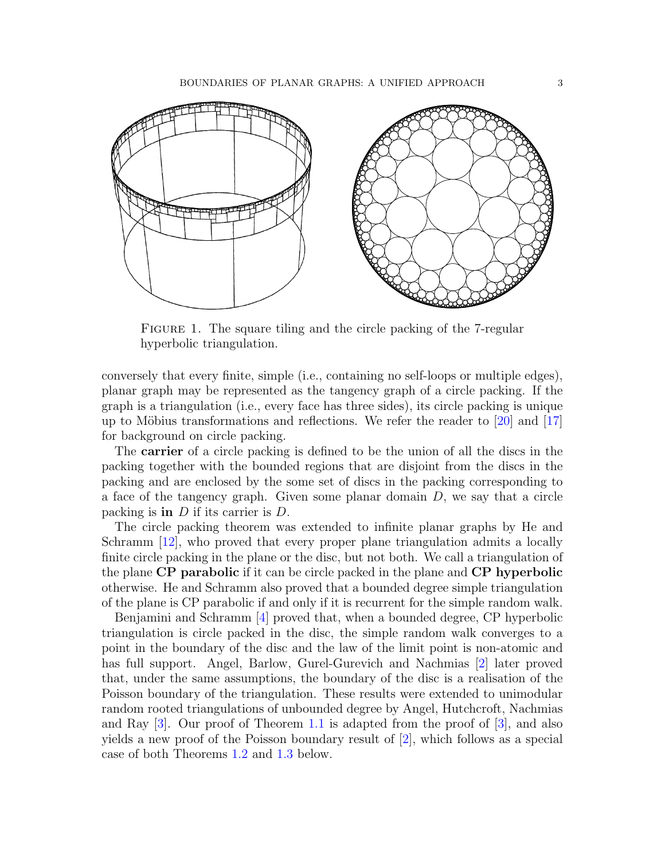

FIGURE 1. The square tiling and the circle packing of the 7-regular hyperbolic triangulation.

conversely that every finite, simple (i.e., containing no self-loops or multiple edges), planar graph may be represented as the tangency graph of a circle packing. If the graph is a triangulation (i.e., every face has three sides), its circle packing is unique up to Möbius transformations and reflections. We refer the reader to  $\left[20\right]$  and  $\left[17\right]$ for background on circle packing.

The carrier of a circle packing is defined to be the union of all the discs in the packing together with the bounded regions that are disjoint from the discs in the packing and are enclosed by the some set of discs in the packing corresponding to a face of the tangency graph. Given some planar domain  $D$ , we say that a circle packing is **in**  $D$  if its carrier is  $D$ .

The circle packing theorem was extended to infinite planar graphs by He and Schramm [\[12\]](#page-20-8), who proved that every proper plane triangulation admits a locally finite circle packing in the plane or the disc, but not both. We call a triangulation of the plane CP parabolic if it can be circle packed in the plane and CP hyperbolic otherwise. He and Schramm also proved that a bounded degree simple triangulation of the plane is CP parabolic if and only if it is recurrent for the simple random walk.

Benjamini and Schramm [\[4\]](#page-20-9) proved that, when a bounded degree, CP hyperbolic triangulation is circle packed in the disc, the simple random walk converges to a point in the boundary of the disc and the law of the limit point is non-atomic and has full support. Angel, Barlow, Gurel-Gurevich and Nachmias [\[2\]](#page-20-1) later proved that, under the same assumptions, the boundary of the disc is a realisation of the Poisson boundary of the triangulation. These results were extended to unimodular random rooted triangulations of unbounded degree by Angel, Hutchcroft, Nachmias and Ray  $[3]$ . Our proof of Theorem [1.1](#page-1-0) is adapted from the proof of  $[3]$ , and also yields a new proof of the Poisson boundary result of [\[2\]](#page-20-1), which follows as a special case of both Theorems [1.2](#page-3-0) and [1.3](#page-4-0) below.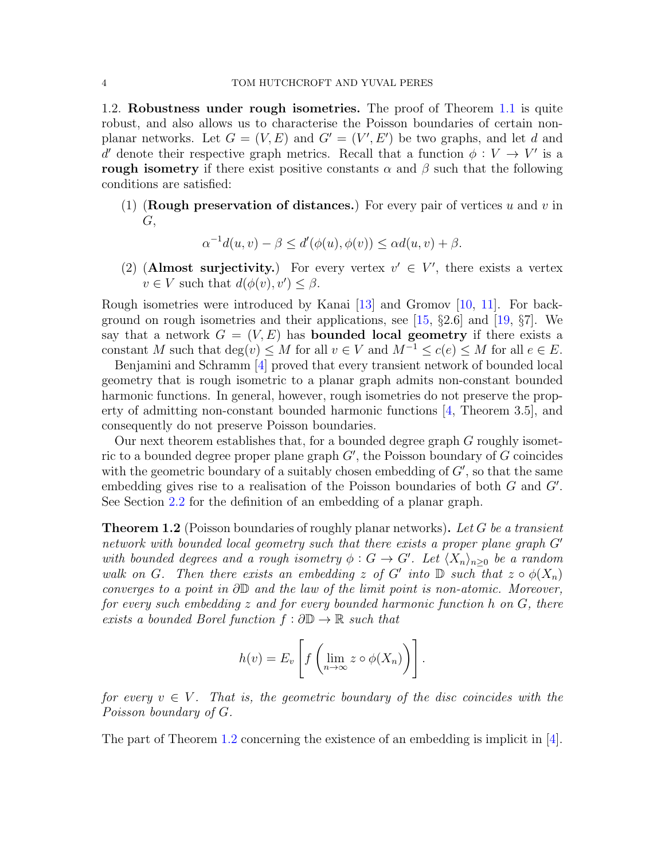1.2. Robustness under rough isometries. The proof of Theorem [1.1](#page-1-0) is quite robust, and also allows us to characterise the Poisson boundaries of certain nonplanar networks. Let  $G = (V, E)$  and  $G' = (V', E')$  be two graphs, and let d and d' denote their respective graph metrics. Recall that a function  $\phi: V \to V'$  is a rough isometry if there exist positive constants  $\alpha$  and  $\beta$  such that the following conditions are satisfied:

(1) (Rough preservation of distances.) For every pair of vertices u and v in G,

$$
\alpha^{-1}d(u,v) - \beta \le d'(\phi(u), \phi(v)) \le \alpha d(u,v) + \beta.
$$

(2) (Almost surjectivity.) For every vertex  $v' \in V'$ , there exists a vertex  $v \in V$  such that  $d(\phi(v), v') \leq \beta$ .

Rough isometries were introduced by Kanai [\[13\]](#page-20-11) and Gromov [\[10,](#page-20-12) [11\]](#page-20-13). For back-ground on rough isometries and their applications, see [\[15,](#page-20-14)  $\S 2.6$ ] and [\[19,](#page-20-15)  $\S 7$ ]. We say that a network  $G = (V, E)$  has **bounded local geometry** if there exists a constant M such that  $\deg(v) \leq M$  for all  $v \in V$  and  $M^{-1} \leq c(e) \leq M$  for all  $e \in E$ .

Benjamini and Schramm [\[4\]](#page-20-9) proved that every transient network of bounded local geometry that is rough isometric to a planar graph admits non-constant bounded harmonic functions. In general, however, rough isometries do not preserve the property of admitting non-constant bounded harmonic functions [\[4,](#page-20-9) Theorem 3.5], and consequently do not preserve Poisson boundaries.

Our next theorem establishes that, for a bounded degree graph G roughly isometric to a bounded degree proper plane graph  $G'$ , the Poisson boundary of  $G$  coincides with the geometric boundary of a suitably chosen embedding of  $G'$ , so that the same embedding gives rise to a realisation of the Poisson boundaries of both  $G$  and  $G'$ . See Section [2.2](#page-6-0) for the definition of an embedding of a planar graph.

<span id="page-3-0"></span>**Theorem 1.2** (Poisson boundaries of roughly planar networks). Let G be a transient network with bounded local geometry such that there exists a proper plane graph  $G'$ with bounded degrees and a rough isometry  $\phi: G \to G'$ . Let  $\langle X_n \rangle_{n\geq 0}$  be a random walk on G. Then there exists an embedding z of G' into  $\mathbb D$  such that  $z \circ \phi(X_n)$ converges to a point in ∂D and the law of the limit point is non-atomic. Moreover, for every such embedding z and for every bounded harmonic function h on G, there exists a bounded Borel function  $f : \partial \mathbb{D} \to \mathbb{R}$  such that

$$
h(v) = E_v \left[ f \left( \lim_{n \to \infty} z \circ \phi(X_n) \right) \right].
$$

for every  $v \in V$ . That is, the geometric boundary of the disc coincides with the Poisson boundary of G.

The part of Theorem [1.2](#page-3-0) concerning the existence of an embedding is implicit in  $[4]$ .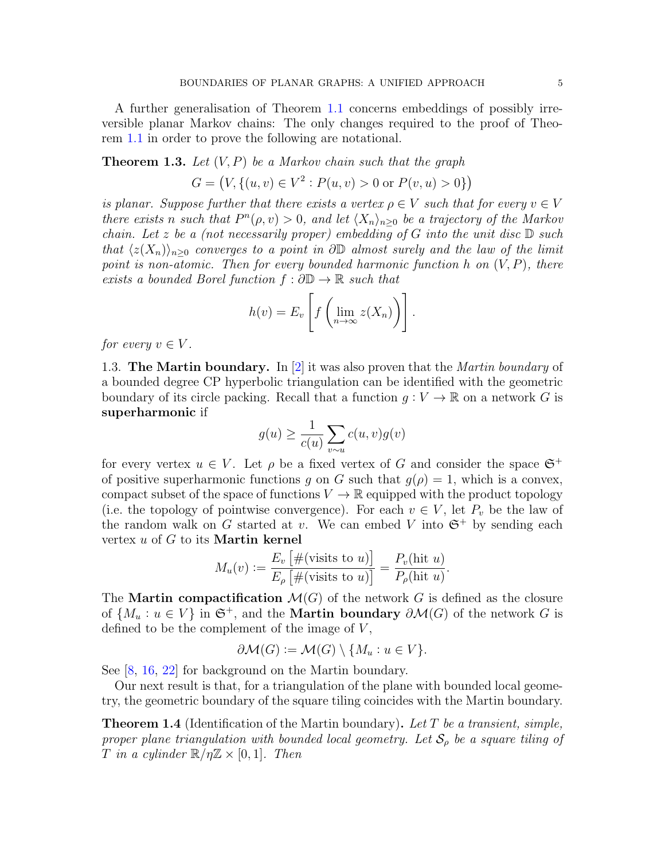A further generalisation of Theorem [1.1](#page-1-0) concerns embeddings of possibly irreversible planar Markov chains: The only changes required to the proof of Theorem [1.1](#page-1-0) in order to prove the following are notational.

# <span id="page-4-0"></span>**Theorem 1.3.** Let  $(V, P)$  be a Markov chain such that the graph

$$
G = (V, \{(u, v) \in V^2 : P(u, v) > 0 \text{ or } P(v, u) > 0\})
$$

is planar. Suppose further that there exists a vertex  $\rho \in V$  such that for every  $v \in V$ there exists n such that  $P^{n}(\rho, v) > 0$ , and let  $\langle X_n \rangle_{n \geq 0}$  be a trajectory of the Markov chain. Let z be a (not necessarily proper) embedding of G into the unit disc  $\mathbb D$  such that  $\langle z(X_n)\rangle_{n\geq 0}$  converges to a point in ∂D almost surely and the law of the limit point is non-atomic. Then for every bounded harmonic function h on  $(V, P)$ , there exists a bounded Borel function  $f : \partial \mathbb{D} \to \mathbb{R}$  such that

$$
h(v) = E_v \left[ f \left( \lim_{n \to \infty} z(X_n) \right) \right].
$$

for every  $v \in V$ .

1.3. The Martin boundary. In |2| it was also proven that the *Martin boundary* of a bounded degree CP hyperbolic triangulation can be identified with the geometric boundary of its circle packing. Recall that a function  $g: V \to \mathbb{R}$  on a network G is superharmonic if

$$
g(u) \ge \frac{1}{c(u)} \sum_{v \sim u} c(u, v) g(v)
$$

for every vertex  $u \in V$ . Let  $\rho$  be a fixed vertex of G and consider the space  $\mathfrak{S}^+$ of positive superharmonic functions q on G such that  $q(\rho) = 1$ , which is a convex, compact subset of the space of functions  $V \to \mathbb{R}$  equipped with the product topology (i.e. the topology of pointwise convergence). For each  $v \in V$ , let  $P_v$  be the law of the random walk on G started at v. We can embed V into  $\mathfrak{S}^+$  by sending each vertex  $u$  of  $G$  to its **Martin kernel** 

$$
M_u(v) := \frac{E_v \left[ \#(\text{visits to } u) \right]}{E_\rho \left[ \#(\text{visits to } u) \right]} = \frac{P_v(\text{hit } u)}{P_\rho(\text{hit } u)}.
$$

The **Martin compactification**  $\mathcal{M}(G)$  of the network G is defined as the closure of  $\{M_u : u \in V\}$  in  $\mathfrak{S}^+$ , and the **Martin boundary**  $\partial \mathcal{M}(G)$  of the network G is defined to be the complement of the image of  $V$ ,

$$
\partial \mathcal{M}(G) := \mathcal{M}(G) \setminus \{M_u : u \in V\}.
$$

See [\[8,](#page-20-16) [16,](#page-20-17) [22\]](#page-20-18) for background on the Martin boundary.

Our next result is that, for a triangulation of the plane with bounded local geometry, the geometric boundary of the square tiling coincides with the Martin boundary.

<span id="page-4-1"></span>**Theorem 1.4** (Identification of the Martin boundary). Let T be a transient, simple, proper plane triangulation with bounded local geometry. Let  $S_\rho$  be a square tiling of T in a cylinder  $\mathbb{R}/\eta\mathbb{Z} \times [0,1]$ . Then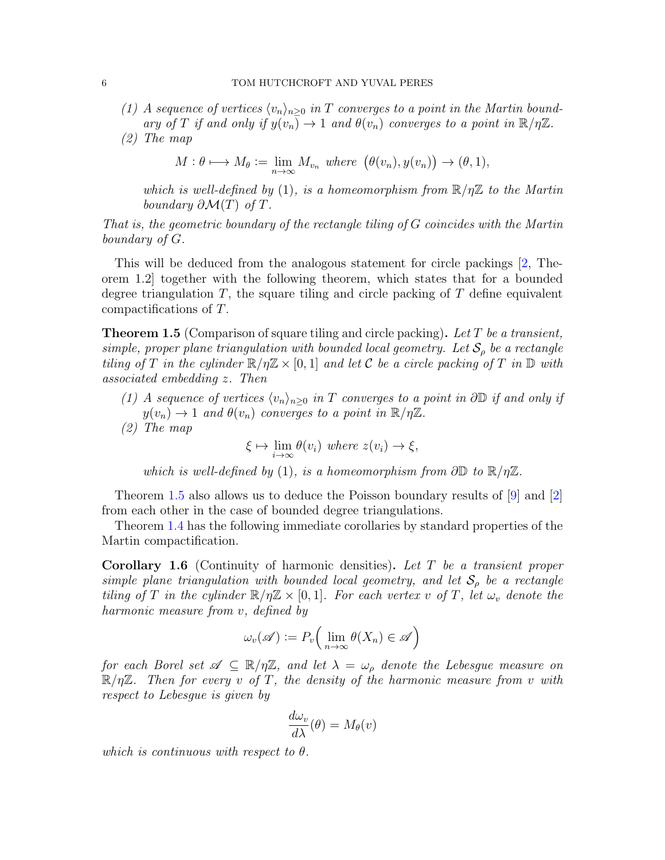(1) A sequence of vertices  $\langle v_n \rangle_{n>0}$  in T converges to a point in the Martin boundary of T if and only if  $y(v_n) \to 1$  and  $\theta(v_n)$  converges to a point in  $\mathbb{R}/\eta\mathbb{Z}$ . (2) The map

$$
M: \theta \longmapsto M_{\theta} := \lim_{n \to \infty} M_{v_n} \text{ where } (\theta(v_n), y(v_n)) \to (\theta, 1),
$$

which is well-defined by (1), is a homeomorphism from  $\mathbb{R}/n\mathbb{Z}$  to the Martin boundary  $\partial \mathcal{M}(T)$  of T.

That is, the geometric boundary of the rectangle tiling of G coincides with the Martin boundary of G.

This will be deduced from the analogous statement for circle packings [\[2,](#page-20-1) Theorem 1.2] together with the following theorem, which states that for a bounded degree triangulation  $T$ , the square tiling and circle packing of  $T$  define equivalent compactifications of T.

<span id="page-5-0"></span>**Theorem 1.5** (Comparison of square tiling and circle packing). Let T be a transient, simple, proper plane triangulation with bounded local geometry. Let  $S_\rho$  be a rectangle tiling of T in the cylinder  $\mathbb{R}/n\mathbb{Z} \times [0,1]$  and let C be a circle packing of T in  $\mathbb{D}$  with associated embedding z. Then

- (1) A sequence of vertices  $\langle v_n \rangle_{n\geq 0}$  in T converges to a point in ∂D if and only if  $y(v_n) \to 1$  and  $\theta(v_n)$  converges to a point in  $\mathbb{R}/\eta\mathbb{Z}$ .
- (2) The map

 $\xi \mapsto \lim_{i \to \infty} \theta(v_i)$  where  $z(v_i) \to \xi$ ,

which is well-defined by (1), is a homeomorphism from  $\partial \mathbb{D}$  to  $\mathbb{R}/\eta \mathbb{Z}$ .

Theorem [1.5](#page-5-0) also allows us to deduce the Poisson boundary results of [\[9\]](#page-20-0) and [\[2\]](#page-20-1) from each other in the case of bounded degree triangulations.

Theorem [1.4](#page-4-1) has the following immediate corollaries by standard properties of the Martin compactification.

Corollary 1.6 (Continuity of harmonic densities). Let T be a transient proper simple plane triangulation with bounded local geometry, and let  $S_{\rho}$  be a rectangle tiling of T in the cylinder  $\mathbb{R}/\eta\mathbb{Z} \times [0,1]$ . For each vertex v of T, let  $\omega_v$  denote the harmonic measure from v, defined by

$$
\omega_v(\mathscr{A}) := P_v\Big(\lim_{n\to\infty}\theta(X_n) \in \mathscr{A}\Big)
$$

for each Borel set  $\mathscr{A} \subseteq \mathbb{R}/\eta\mathbb{Z}$ , and let  $\lambda = \omega_{\rho}$  denote the Lebesgue measure on  $\mathbb{R}/\eta\mathbb{Z}$ . Then for every v of T, the density of the harmonic measure from v with respect to Lebesgue is given by

$$
\frac{d\omega_v}{d\lambda}(\theta) = M_\theta(v)
$$

which is continuous with respect to  $\theta$ .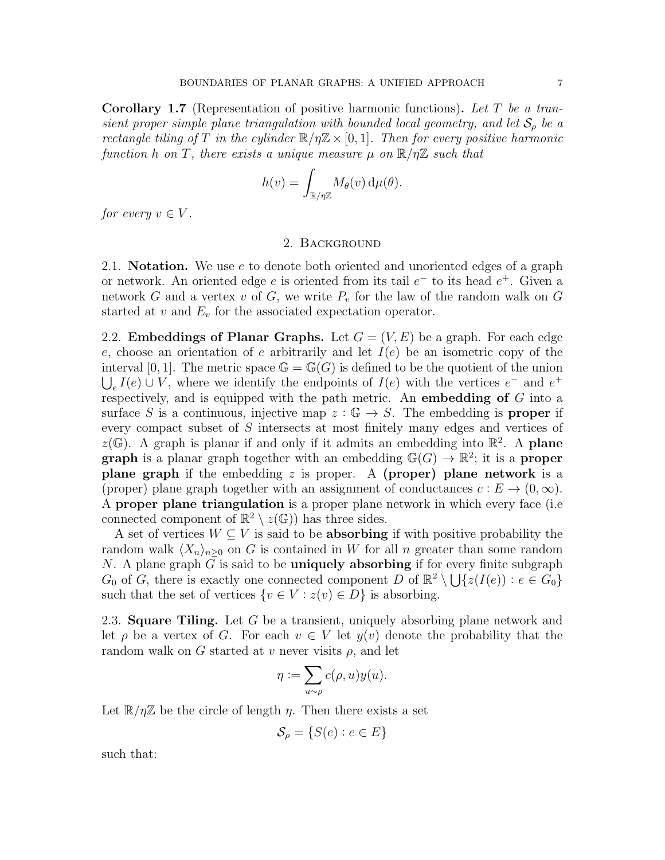**Corollary 1.7** (Representation of positive harmonic functions). Let T be a transient proper simple plane triangulation with bounded local geometry, and let  $S_\rho$  be a rectangle tiling of T in the cylinder  $\mathbb{R}/n\mathbb{Z} \times [0,1]$ . Then for every positive harmonic function h on T, there exists a unique measure  $\mu$  on  $\mathbb{R}/\eta\mathbb{Z}$  such that

$$
h(v) = \int_{\mathbb{R}/\eta\mathbb{Z}} M_{\theta}(v) d\mu(\theta).
$$

for every  $v \in V$ .

## 2. Background

2.1. **Notation.** We use e to denote both oriented and unoriented edges of a graph or network. An oriented edge  $e$  is oriented from its tail  $e^-$  to its head  $e^+$ . Given a network G and a vertex v of G, we write  $P_v$  for the law of the random walk on G started at  $v$  and  $E_v$  for the associated expectation operator.

<span id="page-6-0"></span>2.2. **Embeddings of Planar Graphs.** Let  $G = (V, E)$  be a graph. For each edge e, choose an orientation of e arbitrarily and let  $I(e)$  be an isometric copy of the interval [0, 1]. The metric space  $\mathbb{G} = \mathbb{G}(G)$  is defined to be the quotient of the union  $\bigcup_{e} I(e) \cup V$ , where we identify the endpoints of  $I(e)$  with the vertices  $e^-$  and  $e^+$ respectively, and is equipped with the path metric. An embedding of G into a surface S is a continuous, injective map  $z : \mathbb{G} \to S$ . The embedding is **proper** if every compact subset of S intersects at most finitely many edges and vertices of  $z(\mathbb{G})$ . A graph is planar if and only if it admits an embedding into  $\mathbb{R}^2$ . A plane **graph** is a planar graph together with an embedding  $\mathbb{G}(G) \to \mathbb{R}^2$ ; it is a **proper** plane graph if the embedding  $z$  is proper. A (proper) plane network is a (proper) plane graph together with an assignment of conductances  $c : E \to (0, \infty)$ . A proper plane triangulation is a proper plane network in which every face (i.e connected component of  $\mathbb{R}^2 \setminus z(\mathbb{G})$  has three sides.

A set of vertices  $W \subseteq V$  is said to be **absorbing** if with positive probability the random walk  $\langle X_n \rangle_{n>0}$  on G is contained in W for all n greater than some random N. A plane graph  $G$  is said to be **uniquely absorbing** if for every finite subgraph  $G_0$  of  $G$ , there is exactly one connected component  $D$  of  $\mathbb{R}^2 \setminus \bigcup \{z(I(e)) : e \in G_0\}$ such that the set of vertices  $\{v \in V : z(v) \in D\}$  is absorbing.

<span id="page-6-1"></span>2.3. **Square Tiling.** Let G be a transient, uniquely absorbing plane network and let  $\rho$  be a vertex of G. For each  $v \in V$  let  $y(v)$  denote the probability that the random walk on G started at v never visits  $\rho$ , and let

$$
\eta := \sum_{u \sim \rho} c(\rho, u) y(u).
$$

Let  $\mathbb{R}/\eta\mathbb{Z}$  be the circle of length  $\eta$ . Then there exists a set

$$
\mathcal{S}_{\rho} = \{ S(e) : e \in E \}
$$

such that: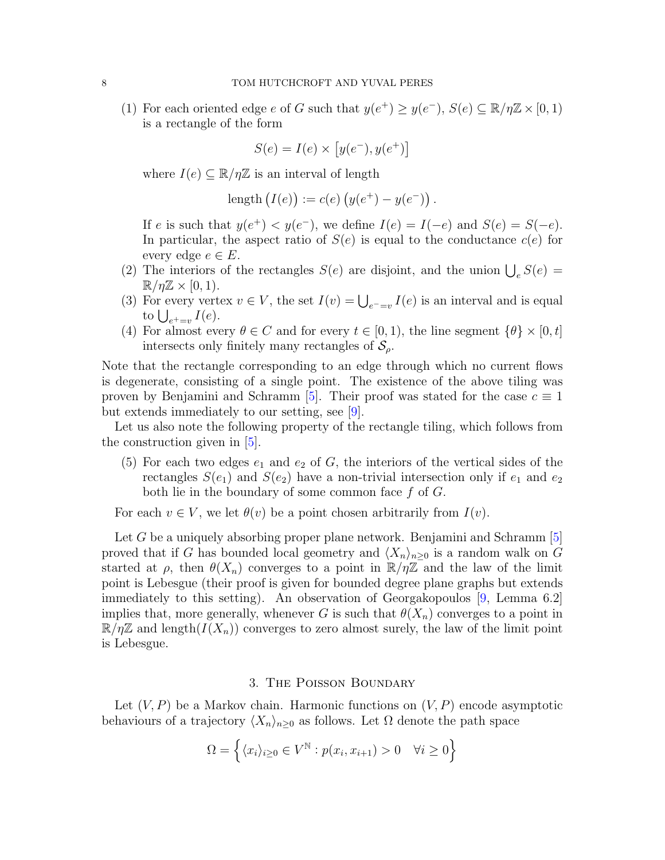(1) For each oriented edge e of G such that  $y(e^+) \ge y(e^-)$ ,  $S(e) \subseteq \mathbb{R}/\eta\mathbb{Z} \times [0,1)$ is a rectangle of the form

$$
S(e) = I(e) \times [y(e^-), y(e^+)]
$$

where  $I(e) \subseteq \mathbb{R}/\eta\mathbb{Z}$  is an interval of length

length 
$$
(I(e)) := c(e) (y(e^+) - y(e^-))
$$
.

If e is such that  $y(e^+) < y(e^-)$ , we define  $I(e) = I(-e)$  and  $S(e) = S(-e)$ . In particular, the aspect ratio of  $S(e)$  is equal to the conductance  $c(e)$  for every edge  $e \in E$ .

- (2) The interiors of the rectangles  $S(e)$  are disjoint, and the union  $\bigcup_e S(e)$  =  $\mathbb{R}/\eta\mathbb{Z} \times [0,1)$ .
- (3) For every vertex  $v \in V$ , the set  $I(v) = \bigcup_{e^- = v} I(e)$  is an interval and is equal to  $\bigcup_{e^+=v} I(e)$ .
- (4) For almost every  $\theta \in C$  and for every  $t \in [0,1)$ , the line segment  $\{\theta\} \times [0,t]$ intersects only finitely many rectangles of  $\mathcal{S}_{\rho}$ .

Note that the rectangle corresponding to an edge through which no current flows is degenerate, consisting of a single point. The existence of the above tiling was proven by Benjamini and Schramm [\[5\]](#page-20-3). Their proof was stated for the case  $c \equiv 1$ but extends immediately to our setting, see [\[9\]](#page-20-0).

Let us also note the following property of the rectangle tiling, which follows from the construction given in [\[5\]](#page-20-3).

(5) For each two edges  $e_1$  and  $e_2$  of G, the interiors of the vertical sides of the rectangles  $S(e_1)$  and  $S(e_2)$  have a non-trivial intersection only if  $e_1$  and  $e_2$ both lie in the boundary of some common face  $f$  of  $G$ .

For each  $v \in V$ , we let  $\theta(v)$  be a point chosen arbitrarily from  $I(v)$ .

Let G be a uniquely absorbing proper plane network. Benjamini and Schramm  $[5]$ proved that if G has bounded local geometry and  $\langle X_n \rangle_{n>0}$  is a random walk on G started at  $\rho$ , then  $\theta(X_n)$  converges to a point in  $\mathbb{R}/\eta\mathbb{Z}$  and the law of the limit point is Lebesgue (their proof is given for bounded degree plane graphs but extends immediately to this setting). An observation of Georgakopoulos [\[9,](#page-20-0) Lemma 6.2] implies that, more generally, whenever G is such that  $\theta(X_n)$  converges to a point in  $\mathbb{R}/\eta\mathbb{Z}$  and length $(I(X_n))$  converges to zero almost surely, the law of the limit point is Lebesgue.

#### 3. The Poisson Boundary

<span id="page-7-0"></span>Let  $(V, P)$  be a Markov chain. Harmonic functions on  $(V, P)$  encode asymptotic behaviours of a trajectory  $\langle X_n \rangle_{n\geq 0}$  as follows. Let  $\Omega$  denote the path space

$$
\Omega = \left\{ \langle x_i \rangle_{i \ge 0} \in V^{\mathbb{N}} : p(x_i, x_{i+1}) > 0 \quad \forall i \ge 0 \right\}
$$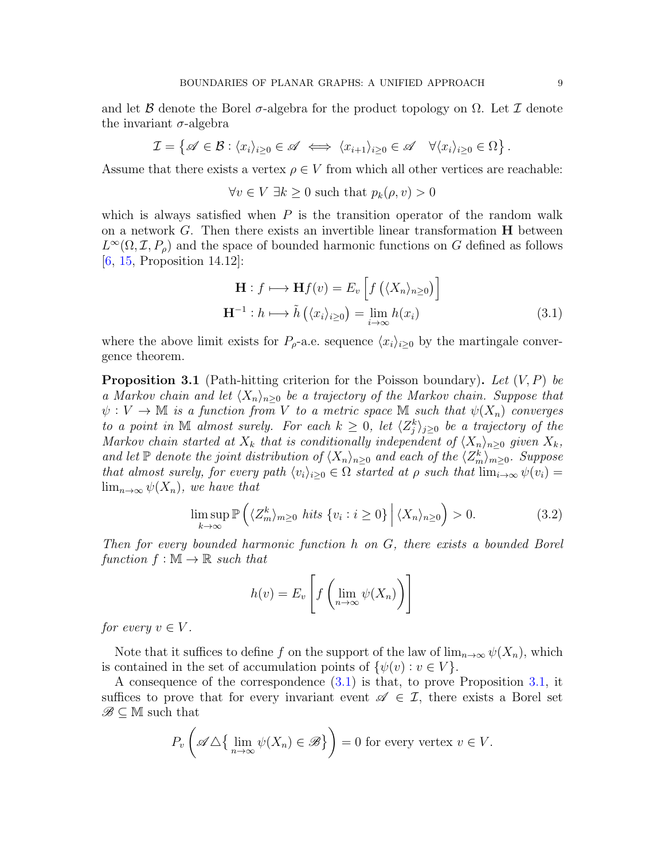and let B denote the Borel  $\sigma$ -algebra for the product topology on  $\Omega$ . Let I denote the invariant  $\sigma$ -algebra

$$
\mathcal{I} = \left\{ \mathscr{A} \in \mathcal{B} : \langle x_i \rangle_{i \geq 0} \in \mathscr{A} \iff \langle x_{i+1} \rangle_{i \geq 0} \in \mathscr{A} \quad \forall \langle x_i \rangle_{i \geq 0} \in \Omega \right\}.
$$

Assume that there exists a vertex  $\rho \in V$  from which all other vertices are reachable:

$$
\forall v \in V \; \exists k \ge 0 \text{ such that } p_k(\rho, v) > 0
$$

which is always satisfied when  $P$  is the transition operator of the random walk on a network  $G$ . Then there exists an invertible linear transformation  $H$  between  $L^{\infty}(\Omega, \mathcal{I}, P_{\rho})$  and the space of bounded harmonic functions on G defined as follows [\[6,](#page-20-19) [15,](#page-20-14) Proposition 14.12]:

<span id="page-8-0"></span>
$$
\mathbf{H}: f \longmapsto \mathbf{H}f(v) = E_v \left[ f\left( \langle X_n \rangle_{n \ge 0} \right) \right]
$$

$$
\mathbf{H}^{-1}: h \longmapsto \tilde{h}\left( \langle x_i \rangle_{i \ge 0} \right) = \lim_{i \to \infty} h(x_i)
$$
(3.1)

where the above limit exists for  $P_{\rho}$ -a.e. sequence  $\langle x_i \rangle_{i>0}$  by the martingale convergence theorem.

<span id="page-8-1"></span>**Proposition 3.1** (Path-hitting criterion for the Poisson boundary). Let  $(V, P)$  be a Markov chain and let  $\langle X_n \rangle_{n>0}$  be a trajectory of the Markov chain. Suppose that  $\psi: V \to \mathbb{M}$  is a function from V to a metric space  $\mathbb M$  such that  $\psi(X_n)$  converges to a point in  $M$  almost surely. For each  $k \geq 0$ , let  $\langle Z_j^k \rangle_{j\geq 0}$  be a trajectory of the Markov chain started at  $X_k$  that is conditionally independent of  $\langle X_n \rangle_{n\geq 0}$  given  $X_k$ , and let  $\mathbb P$  denote the joint distribution of  $\langle X_n \rangle_{n\geq 0}$  and each of the  $\langle Z_m^k \rangle_{m\geq 0}$ . Suppose that almost surely, for every path  $\langle v_i \rangle_{i>0} \in \Omega$  started at  $\rho$  such that  $\lim_{i\to\infty} \psi(v_i) =$  $\lim_{n\to\infty}\psi(X_n)$ , we have that

<span id="page-8-2"></span>
$$
\limsup_{k \to \infty} \mathbb{P}\left(\langle Z_m^k \rangle_{m \ge 0} \text{ hits } \{v_i : i \ge 0\} \, \Big| \, \langle X_n \rangle_{n \ge 0} \right) > 0. \tag{3.2}
$$

Then for every bounded harmonic function h on G, there exists a bounded Borel function  $f : \mathbb{M} \to \mathbb{R}$  such that

$$
h(v) = E_v \left[ f \left( \lim_{n \to \infty} \psi(X_n) \right) \right]
$$

for every  $v \in V$ .

Note that it suffices to define f on the support of the law of  $\lim_{n\to\infty}\psi(X_n)$ , which is contained in the set of accumulation points of  $\{\psi(v): v \in V\}$ .

A consequence of the correspondence [\(3.1\)](#page-8-0) is that, to prove Proposition [3.1,](#page-8-1) it suffices to prove that for every invariant event  $\mathscr{A} \in \mathcal{I}$ , there exists a Borel set  $\mathscr{B} \subset \mathbb{M}$  such that

$$
P_v\left(\mathscr{A}\triangle\{\lim_{n\to\infty}\psi(X_n)\in\mathscr{B}\}\right)=0\text{ for every vertex }v\in V.
$$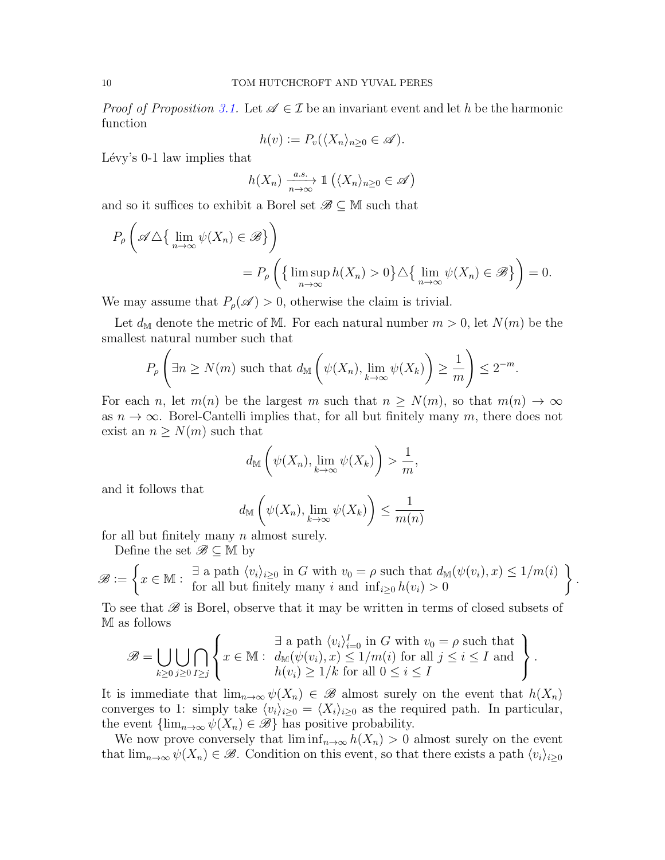*Proof of Proposition [3.1.](#page-8-1)* Let  $\mathscr{A} \in \mathcal{I}$  be an invariant event and let h be the harmonic function

$$
h(v) := P_v(\langle X_n \rangle_{n \ge 0} \in \mathscr{A}).
$$

Lévy's  $0-1$  law implies that

$$
h(X_n) \xrightarrow[n \to \infty]{a.s.} \mathbb{1} (\langle X_n \rangle_{n \ge 0} \in \mathscr{A})
$$

and so it suffices to exhibit a Borel set  $\mathscr{B} \subseteq \mathbb{M}$  such that

$$
P_{\rho}\left(\mathscr{A}\triangle\{\lim_{n\to\infty}\psi(X_n)\in\mathscr{B}\}\right)
$$
  
= 
$$
P_{\rho}\left(\{\limsup_{n\to\infty}h(X_n)>0\}\triangle\{\lim_{n\to\infty}\psi(X_n)\in\mathscr{B}\}\right)=0.
$$

We may assume that  $P_{\rho}(\mathscr{A}) > 0$ , otherwise the claim is trivial.

Let  $d_M$  denote the metric of M. For each natural number  $m > 0$ , let  $N(m)$  be the smallest natural number such that

$$
P_{\rho}\left(\exists n\geq N(m) \text{ such that } d_{\mathbb{M}}\left(\psi(X_n), \lim_{k\to\infty}\psi(X_k)\right)\geq \frac{1}{m}\right)\leq 2^{-m}.
$$

For each n, let  $m(n)$  be the largest m such that  $n \geq N(m)$ , so that  $m(n) \to \infty$ as  $n \to \infty$ . Borel-Cantelli implies that, for all but finitely many m, there does not exist an  $n \geq N(m)$  such that

$$
d_{\mathbb{M}}\left(\psi(X_n), \lim_{k\to\infty}\psi(X_k)\right)>\frac{1}{m},
$$

and it follows that

$$
d_{\mathbb{M}}\left(\psi(X_n), \lim_{k \to \infty} \psi(X_k)\right) \le \frac{1}{m(n)}
$$

for all but finitely many  $n$  almost surely.

Define the set  $\mathscr{B} \subset \mathbb{M}$  by

$$
\mathscr{B} := \left\{ x \in \mathbb{M} : \begin{array}{c} \exists \text{ a path } \langle v_i \rangle_{i \geq 0} \text{ in } G \text{ with } v_0 = \rho \text{ such that } d_{\mathbb{M}}(\psi(v_i), x) \leq 1/m(i) \\ \text{for all but finitely many } i \text{ and } \inf_{i \geq 0} h(v_i) > 0 \end{array} \right\}.
$$

To see that  $\mathscr B$  is Borel, observe that it may be written in terms of closed subsets of M as follows

$$
\mathscr{B} = \bigcup_{k \geq 0} \bigcup_{j \geq 0} \bigcap_{I \geq j} \left\{ x \in \mathbb{M} : \begin{array}{l} \exists \text{ a path } \langle v_i \rangle_{i=0}^I \text{ in } G \text{ with } v_0 = \rho \text{ such that} \\ d_{\mathbb{M}}(\psi(v_i), x) \leq 1/m(i) \text{ for all } j \leq i \leq I \text{ and} \\ h(v_i) \geq 1/k \text{ for all } 0 \leq i \leq I \end{array} \right\}.
$$

It is immediate that  $\lim_{n\to\infty}\psi(X_n)\in\mathscr{B}$  almost surely on the event that  $h(X_n)$ converges to 1: simply take  $\langle v_i \rangle_{i\geq 0} = \langle X_i \rangle_{i\geq 0}$  as the required path. In particular, the event  $\{\lim_{n\to\infty}\psi(X_n)\in\mathscr{B}\}\$  has positive probability.

We now prove conversely that  $\liminf_{n\to\infty} h(X_n) > 0$  almost surely on the event that  $\lim_{n\to\infty}\psi(X_n)\in\mathscr{B}$ . Condition on this event, so that there exists a path  $\langle v_i\rangle_{i\geq 0}$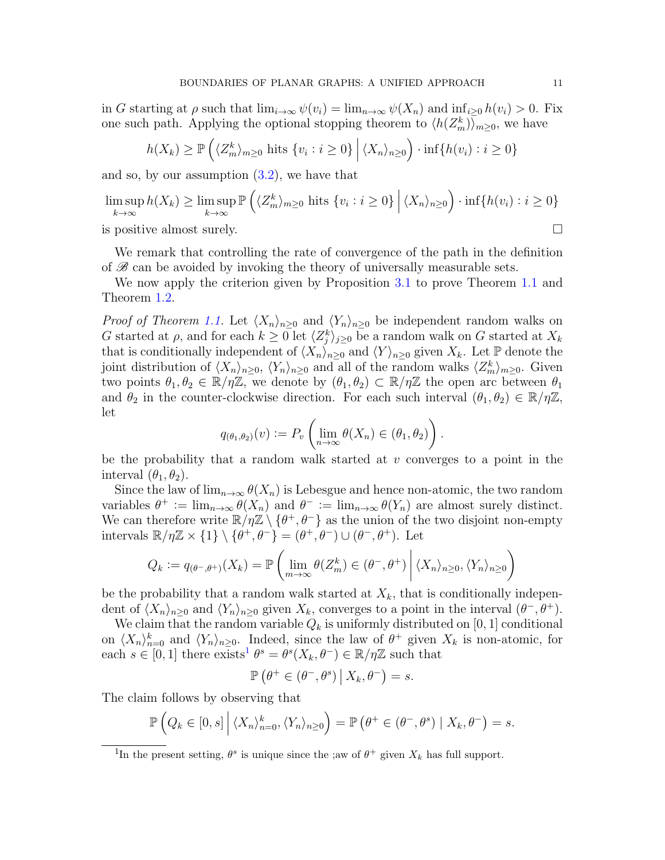in G starting at  $\rho$  such that  $\lim_{i\to\infty}\psi(v_i)=\lim_{n\to\infty}\psi(X_n)$  and  $\inf_{i>0}h(v_i)>0$ . Fix one such path. Applying the optional stopping theorem to  $\langle h(Z_m^k)\rangle_{m\geq 0}$ , we have

$$
h(X_k) \ge \mathbb{P}\left(\langle Z_m^k \rangle_{m \ge 0} \text{ hits } \{v_i : i \ge 0\} \mid \langle X_n \rangle_{n \ge 0}\right) \cdot \inf\{h(v_i) : i \ge 0\}
$$

and so, by our assumption  $(3.2)$ , we have that

$$
\limsup_{k \to \infty} h(X_k) \ge \limsup_{k \to \infty} \mathbb{P}\left(\langle Z_m^k \rangle_{m \ge 0} \text{ hits } \{v_i : i \ge 0\} \, \Big| \, \langle X_n \rangle_{n \ge 0}\right) \cdot \inf\{h(v_i) : i \ge 0\}
$$
\nis positive almost surely.

\n
$$
\Box
$$

We remark that controlling the rate of convergence of the path in the definition

of  $\mathscr{B}$  can be avoided by invoking the theory of universally measurable sets. We now apply the criterion given by Proposition [3.1](#page-8-1) to prove Theorem [1.1](#page-1-0) and Theorem [1.2.](#page-3-0)

*Proof of Theorem [1.1.](#page-1-0)* Let  $\langle X_n \rangle_{n\geq 0}$  and  $\langle Y_n \rangle_{n\geq 0}$  be independent random walks on G started at  $\rho$ , and for each  $k \geq 0$  let  $\langle Z_j^k \rangle_{j\geq 0}$  be a random walk on G started at  $X_k$ that is conditionally independent of  $\langle X_n \rangle_{n\geq 0}$  and  $\langle Y \rangle_{n\geq 0}$  given  $X_k$ . Let P denote the joint distribution of  $\langle X_n \rangle_{n\geq 0}$ ,  $\langle Y_n \rangle_{n\geq 0}$  and all of the random walks  $\langle Z_m^k \rangle_{m\geq 0}$ . Given two points  $\theta_1, \theta_2 \in \mathbb{R}/\eta \mathbb{Z}$ , we denote by  $(\theta_1, \theta_2) \subset \mathbb{R}/\eta \mathbb{Z}$  the open arc between  $\theta_1$ and  $\theta_2$  in the counter-clockwise direction. For each such interval  $(\theta_1, \theta_2) \in \mathbb{R}/\eta\mathbb{Z}$ , let

$$
q_{(\theta_1,\theta_2)}(v) := P_v \left( \lim_{n \to \infty} \theta(X_n) \in (\theta_1,\theta_2) \right).
$$

be the probability that a random walk started at  $v$  converges to a point in the interval  $(\theta_1, \theta_2)$ .

Since the law of  $\lim_{n\to\infty} \theta(X_n)$  is Lebesgue and hence non-atomic, the two random variables  $\theta^+ := \lim_{n \to \infty} \theta(X_n)$  and  $\theta^- := \lim_{n \to \infty} \theta(Y_n)$  are almost surely distinct. We can therefore write  $\mathbb{R}/\eta\mathbb{Z} \setminus \{\theta^+, \theta^-\}$  as the union of the two disjoint non-empty intervals  $\mathbb{R}/\eta\mathbb{Z} \times \{1\} \setminus \{\theta^+, \theta^-\} = (\theta^+, \theta^-) \cup (\theta^-, \theta^+).$  Let

$$
Q_k := q_{(\theta^-, \theta^+)}(X_k) = \mathbb{P}\left(\lim_{m \to \infty} \theta(Z_m^k) \in (\theta^-, \theta^+) \middle| \langle X_n \rangle_{n \geq 0}, \langle Y_n \rangle_{n \geq 0}\right)
$$

be the probability that a random walk started at  $X_k$ , that is conditionally independent of  $\langle X_n \rangle_{n\geq 0}$  and  $\langle Y_n \rangle_{n\geq 0}$  given  $X_k$ , converges to a point in the interval  $(\theta^-, \theta^+)$ .

We claim that the random variable  $Q_k$  is uniformly distributed on [0, 1] conditional on  $\langle X_n \rangle_{n=0}^k$  and  $\langle Y_n \rangle_{n\geq 0}$ . Indeed, since the law of  $\theta^+$  given  $X_k$  is non-atomic, for each  $s \in [0, 1]$  $s \in [0, 1]$  $s \in [0, 1]$  there exists<sup>1</sup>  $\theta^s = \theta^s(X_k, \theta^-) \in \mathbb{R}/\eta\mathbb{Z}$  such that

$$
\mathbb{P}\left(\theta^+\in(\theta^-,\theta^s)\,\big|\,X_k,\theta^-\right)=s.
$$

The claim follows by observing that

$$
\mathbb{P}\left(Q_k \in [0,s] \,\middle|\, \langle X_n \rangle_{n=0}^k, \langle Y_n \rangle_{n\geq 0}\right) = \mathbb{P}\left(\theta^+ \in (\theta^-, \theta^s) \mid X_k, \theta^-\right) = s.
$$

<span id="page-10-0"></span><sup>&</sup>lt;sup>1</sup>In the present setting,  $\theta^s$  is unique since the ;aw of  $\theta^+$  given  $X_k$  has full support.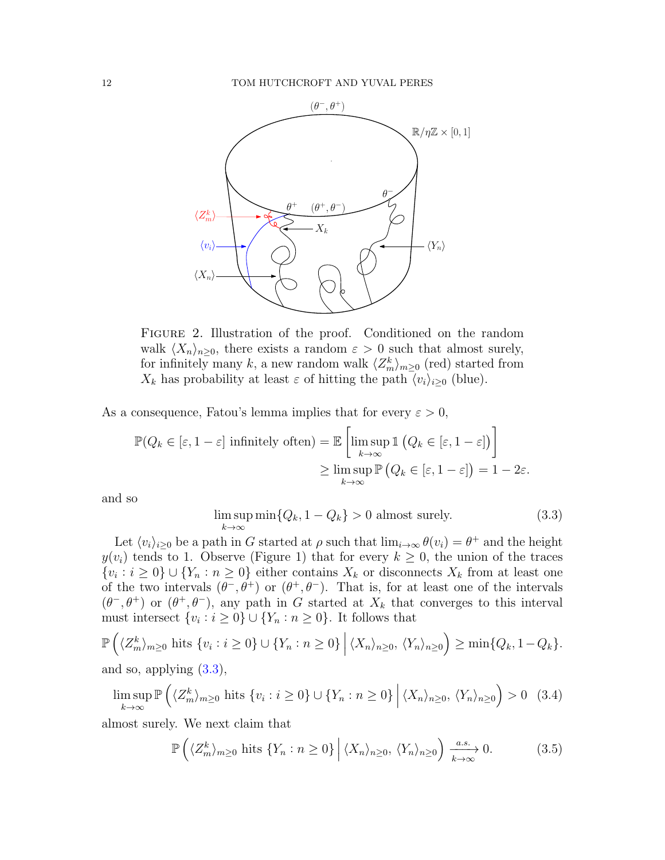

Figure 2. Illustration of the proof. Conditioned on the random walk  $\langle X_n \rangle_{n\geq 0}$ , there exists a random  $\varepsilon > 0$  such that almost surely, for infinitely many k, a new random walk  $\langle Z_m^k \rangle_{m \geq 0}$  (red) started from  $X_k$  has probability at least  $\varepsilon$  of hitting the path  $\overline{\langle v_i \rangle}_{i\geq 0}$  (blue).

As a consequence, Fatou's lemma implies that for every  $\varepsilon > 0$ ,

$$
\mathbb{P}(Q_k \in [\varepsilon, 1-\varepsilon] \text{ infinitely often}) = \mathbb{E}\left[\limsup_{k \to \infty} \mathbb{1}\left(Q_k \in [\varepsilon, 1-\varepsilon]\right)\right]
$$

$$
\geq \limsup_{k \to \infty} \mathbb{P}\left(Q_k \in [\varepsilon, 1-\varepsilon]\right) = 1 - 2\varepsilon.
$$

and so

<span id="page-11-0"></span>
$$
\limsup_{k \to \infty} \min \{Q_k, 1 - Q_k\} > 0 \text{ almost surely.}
$$
\n(3.3)

Let  $\langle v_i \rangle_{i\geq 0}$  be a path in G started at  $\rho$  such that  $\lim_{i\to\infty} \theta(v_i) = \theta^+$  and the height  $y(v_i)$  tends to 1. Observe (Figure 1) that for every  $k \geq 0$ , the union of the traces  $\{v_i : i \geq 0\} \cup \{Y_n : n \geq 0\}$  either contains  $X_k$  or disconnects  $X_k$  from at least one of the two intervals  $(\theta^-, \theta^+)$  or  $(\theta^+, \theta^-)$ . That is, for at least one of the intervals  $(\theta^-, \theta^+)$  or  $(\theta^+, \theta^-)$ , any path in G started at  $X_k$  that converges to this interval must intersect  $\{v_i : i \geq 0\} \cup \{Y_n : n \geq 0\}$ . It follows that

$$
\mathbb{P}\left(\langle Z_m^k\rangle_{m\geq 0} \text{ hits } \{v_i : i \geq 0\} \cup \{Y_n : n \geq 0\} \, \Big| \, \langle X_n\rangle_{n\geq 0}, \, \langle Y_n\rangle_{n\geq 0}\right) \geq \min\{Q_k, 1 - Q_k\}.
$$

and so, applying [\(3.3\)](#page-11-0),

<span id="page-11-1"></span>
$$
\limsup_{k \to \infty} \mathbb{P}\left(\langle Z_m^k \rangle_{m \ge 0} \text{ hits } \{v_i : i \ge 0\} \cup \{Y_n : n \ge 0\} \, \Big| \, \langle X_n \rangle_{n \ge 0}, \, \langle Y_n \rangle_{n \ge 0} \right) > 0 \quad (3.4)
$$

almost surely. We next claim that

<span id="page-11-2"></span>
$$
\mathbb{P}\left(\langle Z_{m}^{k}\rangle_{m\geq0} \text{ hits } \{Y_{n}:n\geq0\} \middle| \langle X_{n}\rangle_{n\geq0},\,\langle Y_{n}\rangle_{n\geq0}\right) \xrightarrow[k\to\infty]{a.s.} 0. \tag{3.5}
$$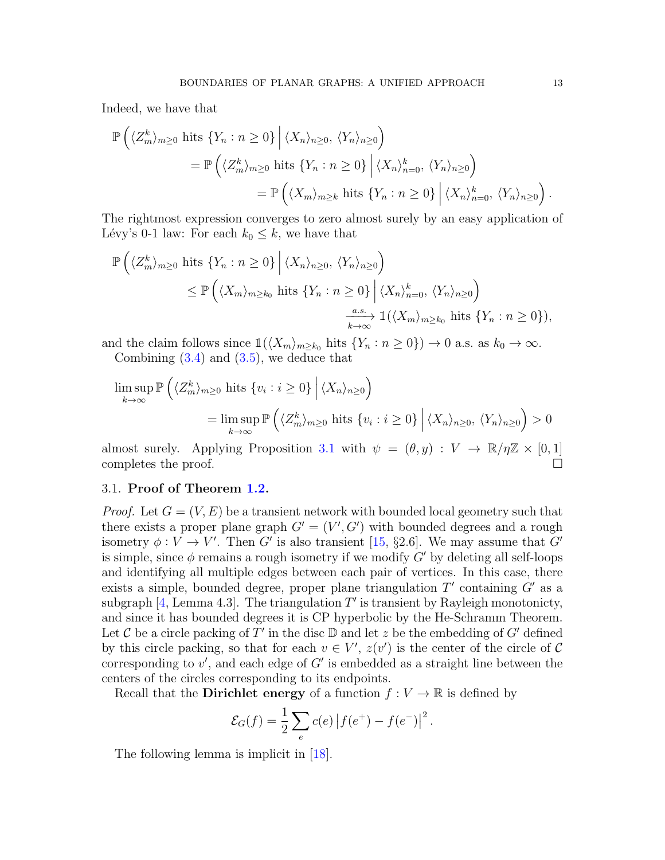Indeed, we have that

$$
\mathbb{P}\left(\langle Z_{m}^{k}\rangle_{m\geq0} \text{ hits } \{Y_{n}: n \geq 0\} \middle| \langle X_{n}\rangle_{n\geq0}, \langle Y_{n}\rangle_{n\geq0}\right)
$$
  
= 
$$
\mathbb{P}\left(\langle Z_{m}^{k}\rangle_{m\geq0} \text{ hits } \{Y_{n}: n \geq 0\} \middle| \langle X_{n}\rangle_{n=0}^{k}, \langle Y_{n}\rangle_{n\geq0}\right)
$$
  
= 
$$
\mathbb{P}\left(\langle X_{m}\rangle_{m\geq k} \text{ hits } \{Y_{n}: n \geq 0\} \middle| \langle X_{n}\rangle_{n=0}^{k}, \langle Y_{n}\rangle_{n\geq0}\right).
$$

The rightmost expression converges to zero almost surely by an easy application of Lévy's 0-1 law: For each  $k_0 \leq k$ , we have that

$$
\mathbb{P}\left(\langle Z_{m}^{k}\rangle_{m\geq 0} \text{ hits } \{Y_{n} : n \geq 0\} \middle| \langle X_{n}\rangle_{n\geq 0}, \langle Y_{n}\rangle_{n\geq 0}\right) \leq \mathbb{P}\left(\langle X_{m}\rangle_{m\geq k_{0}} \text{ hits } \{Y_{n} : n \geq 0\} \middle| \langle X_{n}\rangle_{n=0}^{k}, \langle Y_{n}\rangle_{n\geq 0}\right) \xrightarrow[k \to \infty]{a.s.} \mathbb{1}(\langle X_{m}\rangle_{m\geq k_{0}} \text{ hits } \{Y_{n} : n \geq 0\}),
$$

and the claim follows since  $\mathbb{1}(\langle X_m \rangle_{m \geq k_0}$  hits  $\{Y_n : n \geq 0\}$   $\to 0$  a.s. as  $k_0 \to \infty$ . Combining  $(3.4)$  and  $(3.5)$ , we deduce that

$$
\limsup_{k \to \infty} \mathbb{P}\left(\langle Z_m^k \rangle_{m \ge 0} \text{ hits } \{v_i : i \ge 0\} \middle| \langle X_n \rangle_{n \ge 0}\right)
$$
\n
$$
= \limsup_{k \to \infty} \mathbb{P}\left(\langle Z_m^k \rangle_{m \ge 0} \text{ hits } \{v_i : i \ge 0\} \middle| \langle X_n \rangle_{n \ge 0}, \langle Y_n \rangle_{n \ge 0}\right) > 0
$$

almost surely. Applying Proposition [3.1](#page-8-1) with  $\psi = (\theta, y) : V \to \mathbb{R}/\eta\mathbb{Z} \times [0, 1]$ <br>completes the proof completes the proof.

## 3.1. Proof of Theorem [1.2.](#page-3-0)

*Proof.* Let  $G = (V, E)$  be a transient network with bounded local geometry such that there exists a proper plane graph  $G' = (V', G')$  with bounded degrees and a rough isometry  $\phi: V \to V'$ . Then G' is also transient [\[15,](#page-20-14) §2.6]. We may assume that G' is simple, since  $\phi$  remains a rough isometry if we modify G' by deleting all self-loops and identifying all multiple edges between each pair of vertices. In this case, there exists a simple, bounded degree, proper plane triangulation  $T'$  containing  $G'$  as a subgraph  $[4, \text{Lemma } 4.3]$  $[4, \text{Lemma } 4.3]$ . The triangulation  $T'$  is transient by Rayleigh monotonicty, and since it has bounded degrees it is CP hyperbolic by the He-Schramm Theorem. Let C be a circle packing of T' in the disc  $\mathbb D$  and let z be the embedding of G' defined by this circle packing, so that for each  $v \in V'$ ,  $z(v')$  is the center of the circle of C corresponding to  $v'$ , and each edge of  $G'$  is embedded as a straight line between the centers of the circles corresponding to its endpoints.

Recall that the **Dirichlet energy** of a function  $f: V \to \mathbb{R}$  is defined by

$$
\mathcal{E}_G(f) = \frac{1}{2} \sum_e c(e) |f(e^+) - f(e^-)|^2.
$$

The following lemma is implicit in [\[18\]](#page-20-20).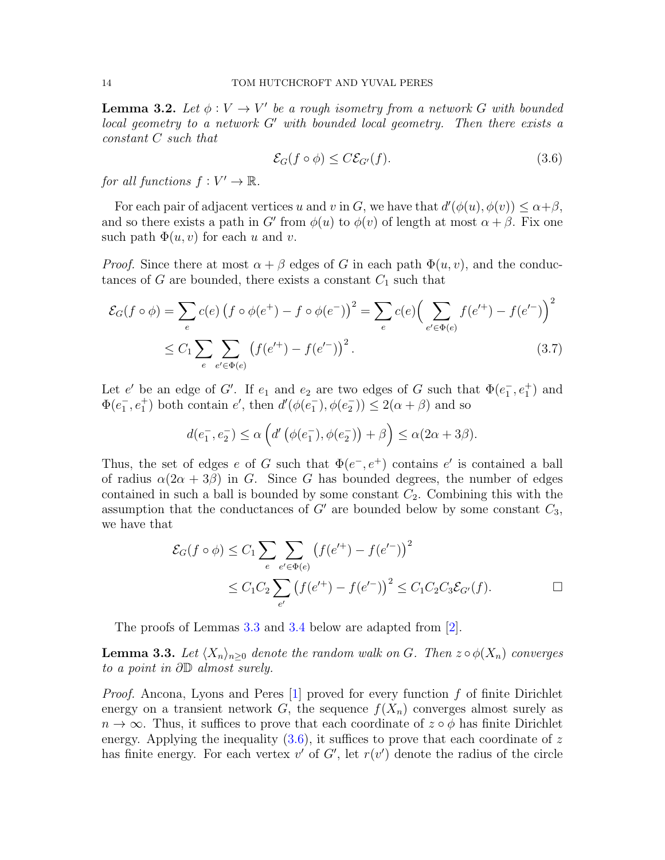**Lemma 3.2.** Let  $\phi: V \to V'$  be a rough isometry from a network G with bounded local geometry to a network  $G'$  with bounded local geometry. Then there exists a constant C such that

<span id="page-13-1"></span>
$$
\mathcal{E}_G(f \circ \phi) \le C \mathcal{E}_{G'}(f). \tag{3.6}
$$

for all functions  $f: V' \to \mathbb{R}$ .

For each pair of adjacent vertices u and v in G, we have that  $d'(\phi(u), \phi(v)) \leq \alpha + \beta$ , and so there exists a path in G' from  $\phi(u)$  to  $\phi(v)$  of length at most  $\alpha + \beta$ . Fix one such path  $\Phi(u, v)$  for each u and v.

*Proof.* Since there at most  $\alpha + \beta$  edges of G in each path  $\Phi(u, v)$ , and the conductances of G are bounded, there exists a constant  $C_1$  such that

$$
\mathcal{E}_G(f \circ \phi) = \sum_e c(e) \left( f \circ \phi(e^+) - f \circ \phi(e^-) \right)^2 = \sum_e c(e) \left( \sum_{e' \in \Phi(e)} f(e'^+) - f(e'^-) \right)^2
$$
  
 
$$
\leq C_1 \sum_e \sum_{e' \in \Phi(e)} \left( f(e'^+) - f(e'^-) \right)^2.
$$
 (3.7)

Let e' be an edge of G'. If  $e_1$  and  $e_2$  are two edges of G such that  $\Phi(e_1^-, e_1^+)$  and  $\Phi(e_1^-, e_1^+)$  both contain  $e'$ , then  $d'(\phi(e_1^-), \phi(e_2^-)) \leq 2(\alpha + \beta)$  and so

$$
d(e_1^-, e_2^-) \le \alpha \left( d' \left( \phi(e_1^-), \phi(e_2^-) \right) + \beta \right) \le \alpha (2\alpha + 3\beta).
$$

Thus, the set of edges e of G such that  $\Phi(e^-, e^+)$  contains e' is contained a ball of radius  $\alpha(2\alpha + 3\beta)$  in G. Since G has bounded degrees, the number of edges contained in such a ball is bounded by some constant  $C_2$ . Combining this with the assumption that the conductances of  $G'$  are bounded below by some constant  $C_3$ , we have that

$$
\mathcal{E}_G(f \circ \phi) \le C_1 \sum_{e} \sum_{e' \in \Phi(e)} \left( f(e'^+) - f(e'^-) \right)^2
$$
  
 
$$
\le C_1 C_2 \sum_{e'} \left( f(e'^+) - f(e'^-) \right)^2 \le C_1 C_2 C_3 \mathcal{E}_{G'}(f). \square
$$

The proofs of Lemmas [3.3](#page-13-0) and [3.4](#page-14-0) below are adapted from [\[2\]](#page-20-1).

<span id="page-13-0"></span>**Lemma 3.3.** Let  $\langle X_n \rangle_{n>0}$  denote the random walk on G. Then  $z \circ \phi(X_n)$  converges to a point in ∂D almost surely.

*Proof.* Ancona, Lyons and Peres  $\begin{bmatrix} 1 \end{bmatrix}$  proved for every function f of finite Dirichlet energy on a transient network G, the sequence  $f(X_n)$  converges almost surely as  $n \to \infty$ . Thus, it suffices to prove that each coordinate of  $z \circ \phi$  has finite Dirichlet energy. Applying the inequality  $(3.6)$ , it suffices to prove that each coordinate of z has finite energy. For each vertex  $v'$  of  $G'$ , let  $r(v')$  denote the radius of the circle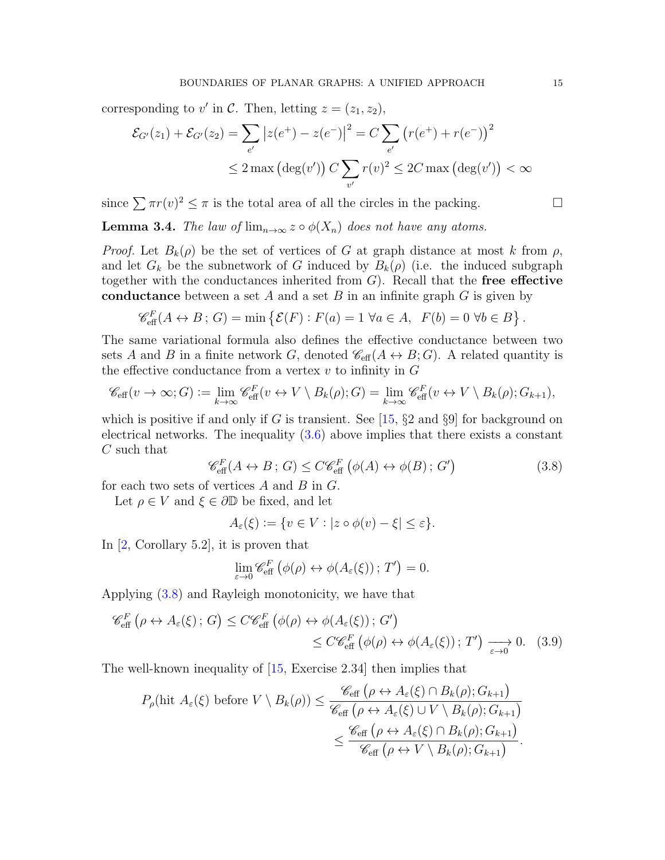corresponding to  $v'$  in C. Then, letting  $z = (z_1, z_2)$ ,

$$
\mathcal{E}_{G'}(z_1) + \mathcal{E}_{G'}(z_2) = \sum_{e'} |z(e^+) - z(e^-)|^2 = C \sum_{e'} (r(e^+) + r(e^-))^2
$$
  
 
$$
\leq 2 \max (\deg(v')) C \sum_{v'} r(v)^2 \leq 2C \max (\deg(v')) < \infty
$$

since  $\sum \pi r(v)^2 \leq \pi$  is the total area of all the circles in the packing.

<span id="page-14-0"></span>**Lemma 3.4.** The law of  $\lim_{n\to\infty} z \circ \phi(X_n)$  does not have any atoms.

*Proof.* Let  $B_k(\rho)$  be the set of vertices of G at graph distance at most k from  $\rho$ , and let  $G_k$  be the subnetwork of G induced by  $B_k(\rho)$  (i.e. the induced subgraph together with the conductances inherited from  $G$ ). Recall that the **free effective** conductance between a set A and a set B in an infinite graph  $G$  is given by

$$
\mathcal{C}_{\text{eff}}^F(A \leftrightarrow B; G) = \min \left\{ \mathcal{E}(F) : F(a) = 1 \,\forall a \in A, \ F(b) = 0 \,\forall b \in B \right\}.
$$

The same variational formula also defines the effective conductance between two sets A and B in a finite network G, denoted  $\mathscr{C}_{\text{eff}}(A \leftrightarrow B; G)$ . A related quantity is the effective conductance from a vertex  $v$  to infinity in  $G$ 

$$
\mathscr{C}_{\text{eff}}(v \to \infty; G) \coloneqq \lim_{k \to \infty} \mathscr{C}_{\text{eff}}^F(v \leftrightarrow V \setminus B_k(\rho); G) = \lim_{k \to \infty} \mathscr{C}_{\text{eff}}^F(v \leftrightarrow V \setminus B_k(\rho); G_{k+1}),
$$

which is positive if and only if G is transient. See [\[15,](#page-20-14)  $\S$ 2 and  $\S$ 9] for background on electrical networks. The inequality [\(3.6\)](#page-13-1) above implies that there exists a constant C such that

<span id="page-14-1"></span>
$$
\mathcal{C}_{\text{eff}}^F(A \leftrightarrow B; G) \le C \mathcal{C}_{\text{eff}}^F(\phi(A) \leftrightarrow \phi(B); G') \tag{3.8}
$$

for each two sets of vertices  $A$  and  $B$  in  $G$ .

Let  $\rho \in V$  and  $\xi \in \partial \mathbb{D}$  be fixed, and let

$$
A_{\varepsilon}(\xi) := \{ v \in V : |z \circ \phi(v) - \xi| \leq \varepsilon \}.
$$

In [\[2,](#page-20-1) Corollary 5.2], it is proven that

<span id="page-14-2"></span>
$$
\lim_{\varepsilon \to 0} \mathscr{C}_{\text{eff}}^F \left( \phi(\rho) \leftrightarrow \phi(A_{\varepsilon}(\xi)) ; T' \right) = 0.
$$

Applying [\(3.8\)](#page-14-1) and Rayleigh monotonicity, we have that

$$
\mathscr{C}_{\text{eff}}^{F}\left(\rho \leftrightarrow A_{\varepsilon}(\xi); G\right) \leq C \mathscr{C}_{\text{eff}}^{F}\left(\phi(\rho) \leftrightarrow \phi(A_{\varepsilon}(\xi)); G'\right) \leq C \mathscr{C}_{\text{eff}}^{F}\left(\phi(\rho) \leftrightarrow \phi(A_{\varepsilon}(\xi)); T'\right) \xrightarrow[\varepsilon \to 0]{} 0. \quad (3.9)
$$

The well-known inequality of [\[15,](#page-20-14) Exercise 2.34] then implies that

$$
P_{\rho}(\text{hit } A_{\varepsilon}(\xi) \text{ before } V \setminus B_{k}(\rho)) \leq \frac{\mathscr{C}_{\text{eff}}\left(\rho \leftrightarrow A_{\varepsilon}(\xi) \cap B_{k}(\rho); G_{k+1}\right)}{\mathscr{C}_{\text{eff}}\left(\rho \leftrightarrow A_{\varepsilon}(\xi) \cup V \setminus B_{k}(\rho); G_{k+1}\right)} \leq \frac{\mathscr{C}_{\text{eff}}\left(\rho \leftrightarrow A_{\varepsilon}(\xi) \cap B_{k}(\rho); G_{k+1}\right)}{\mathscr{C}_{\text{eff}}\left(\rho \leftrightarrow V \setminus B_{k}(\rho); G_{k+1}\right)}.
$$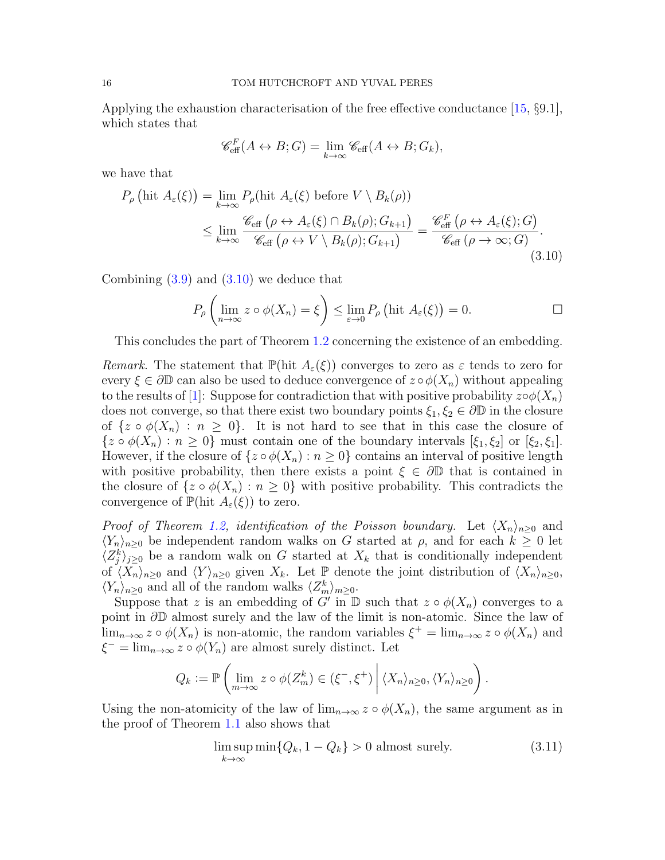Applying the exhaustion characterisation of the free effective conductance [\[15,](#page-20-14) §9.1], which states that

<span id="page-15-0"></span>
$$
\mathscr{C}_{\text{eff}}^F(A \leftrightarrow B; G) = \lim_{k \to \infty} \mathscr{C}_{\text{eff}}(A \leftrightarrow B; G_k),
$$

we have that

$$
P_{\rho} \left( \text{hit } A_{\varepsilon}(\xi) \right) = \lim_{k \to \infty} P_{\rho}(\text{hit } A_{\varepsilon}(\xi) \text{ before } V \setminus B_{k}(\rho))
$$
  
\$\leq \lim\_{k \to \infty} \frac{\mathcal{C}\_{\text{eff}} \left( \rho \leftrightarrow A\_{\varepsilon}(\xi) \cap B\_{k}(\rho); G\_{k+1} \right) = \frac{\mathcal{C}\_{\text{eff}}^{F} \left( \rho \leftrightarrow A\_{\varepsilon}(\xi); G \right)}{\mathcal{C}\_{\text{eff}} \left( \rho \to \infty; G \right)} \tag{3.10}

Combining  $(3.9)$  and  $(3.10)$  we deduce that

$$
P_{\rho}\left(\lim_{n\to\infty}z\circ\phi(X_n)=\xi\right)\leq \lim_{\varepsilon\to 0}P_{\rho}\left(\text{hit }A_{\varepsilon}(\xi)\right)=0.\qquad \qquad \Box
$$

This concludes the part of Theorem [1.2](#page-3-0) concerning the existence of an embedding.

Remark. The statement that  $\mathbb{P}(\text{hit }A_{\varepsilon}(\xi))$  converges to zero as  $\varepsilon$  tends to zero for every  $\xi \in \partial \mathbb{D}$  can also be used to deduce convergence of  $z \circ \phi(X_n)$  without appealing to the results of [\[1\]](#page-19-0): Suppose for contradiction that with positive probability  $z\circ \phi(X_n)$ does not converge, so that there exist two boundary points  $\xi_1, \xi_2 \in \partial \mathbb{D}$  in the closure of  $\{z \circ \phi(X_n) : n \geq 0\}$ . It is not hard to see that in this case the closure of  $\{z \circ \phi(X_n) : n \geq 0\}$  must contain one of the boundary intervals  $[\xi_1, \xi_2]$  or  $[\xi_2, \xi_1]$ . However, if the closure of  $\{z \circ \phi(X_n) : n \geq 0\}$  contains an interval of positive length with positive probability, then there exists a point  $\xi \in \partial \mathbb{D}$  that is contained in the closure of  $\{z \circ \phi(X_n) : n \geq 0\}$  with positive probability. This contradicts the convergence of  $\mathbb{P}(\text{hit } A_{\varepsilon}(\xi))$  to zero.

*Proof of Theorem [1.2,](#page-3-0) identification of the Poisson boundary.* Let  $\langle X_n \rangle_{n>0}$  and  $\langle Y_n \rangle_{n\geq 0}$  be independent random walks on G started at  $\rho$ , and for each  $k \geq 0$  let  $\langle Z_j^k \rangle_{j\geq 0}$  be a random walk on G started at  $X_k$  that is conditionally independent of  $\langle X_n \rangle_{n\geq 0}$  and  $\langle Y \rangle_{n\geq 0}$  given  $X_k$ . Let  $\mathbb P$  denote the joint distribution of  $\langle X_n \rangle_{n\geq 0}$ ,  $\langle Y_n \rangle_{n\geq 0}$  and all of the random walks  $\langle Z_m^k \rangle_{m\geq 0}$ .

Suppose that z is an embedding of G' in  $\mathbb D$  such that  $z \circ \phi(X_n)$  converges to a point in ∂D almost surely and the law of the limit is non-atomic. Since the law of  $\lim_{n\to\infty} z \circ \phi(X_n)$  is non-atomic, the random variables  $\xi^+ = \lim_{n\to\infty} z \circ \phi(X_n)$  and  $\xi^- = \lim_{n \to \infty} z \circ \phi(Y_n)$  are almost surely distinct. Let

$$
Q_k := \mathbb{P}\left(\lim_{m\to\infty} z \circ \phi(Z_m^k) \in (\xi^-, \xi^+) \middle| \langle X_n \rangle_{n\geq 0}, \langle Y_n \rangle_{n\geq 0}\right)
$$

Using the non-atomicity of the law of  $\lim_{n\to\infty} z \circ \phi(X_n)$ , the same argument as in the proof of Theorem [1.1](#page-1-0) also shows that

<span id="page-15-1"></span>
$$
\limsup_{k \to \infty} \min \{Q_k, 1 - Q_k\} > 0 \text{ almost surely.}
$$
\n(3.11)

.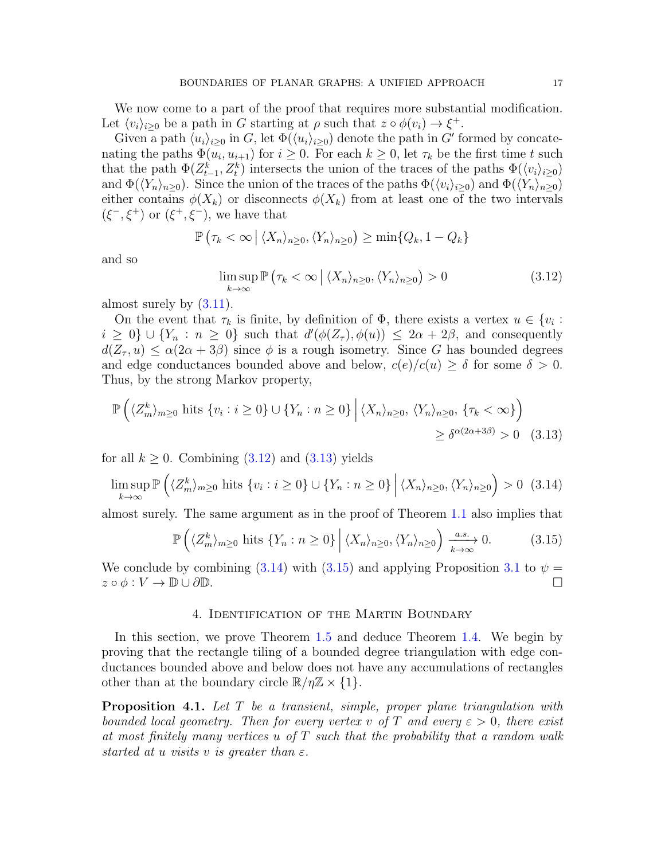We now come to a part of the proof that requires more substantial modification. Let  $\langle v_i \rangle_{i \geq 0}$  be a path in G starting at  $\rho$  such that  $z \circ \phi(v_i) \to \xi^+$ .

Given a path  $\langle u_i \rangle_{i \geq 0}$  in G, let  $\Phi(\langle u_i \rangle_{i \geq 0})$  denote the path in G' formed by concatenating the paths  $\Phi(u_i, u_{i+1})$  for  $i \geq 0$ . For each  $k \geq 0$ , let  $\tau_k$  be the first time t such that the path  $\Phi(Z_{t-1}^k, Z_t^k)$  intersects the union of the traces of the paths  $\Phi(\langle v_i \rangle_{i\geq 0})$ and  $\Phi(\langle Y_n\rangle_{n\geq0})$ . Since the union of the traces of the paths  $\Phi(\langle v_i\rangle_{i\geq0})$  and  $\Phi(\langle Y_n\rangle_{n\geq0})$ either contains  $\phi(X_k)$  or disconnects  $\phi(X_k)$  from at least one of the two intervals  $(\xi^-, \xi^+)$  or  $(\xi^+, \xi^-)$ , we have that

$$
\mathbb{P}\left(\tau_k < \infty \, \big| \, \langle X_n \rangle_{n\geq 0}, \langle Y_n \rangle_{n\geq 0}\right) \geq \min\{Q_k, 1 - Q_k\}
$$

and so

<span id="page-16-1"></span><span id="page-16-0"></span>
$$
\limsup_{k \to \infty} \mathbb{P}\left(\tau_k < \infty \, \left| \, \langle X_n \rangle_{n \ge 0}, \langle Y_n \rangle_{n \ge 0} \right) > 0 \tag{3.12}
$$

almost surely by [\(3.11\)](#page-15-1).

On the event that  $\tau_k$  is finite, by definition of  $\Phi$ , there exists a vertex  $u \in \{v_i :$  $i \geq 0$   $\cup$   $\{Y_n : n \geq 0\}$  such that  $d'(\phi(Z_\tau), \phi(u)) \leq 2\alpha + 2\beta$ , and consequently  $d(Z_{\tau}, u) \leq \alpha(2\alpha + 3\beta)$  since  $\phi$  is a rough isometry. Since G has bounded degrees and edge conductances bounded above and below,  $c(e)/c(u) \ge \delta$  for some  $\delta > 0$ . Thus, by the strong Markov property,

$$
\mathbb{P}\left(\langle Z_{m}^{k}\rangle_{m\geq0} \text{ hits } \{v_{i}: i \geq 0\} \cup \{Y_{n}: n \geq 0\} \middle| \langle X_{n}\rangle_{n\geq0}, \langle Y_{n}\rangle_{n\geq0}, \{\tau_{k}<\infty\}\right) \geq \delta^{\alpha(2\alpha+3\beta)} > 0 \quad (3.13)
$$

for all  $k \geq 0$ . Combining  $(3.12)$  and  $(3.13)$  yields

<span id="page-16-2"></span>
$$
\limsup_{k \to \infty} \mathbb{P}\left(\langle Z_m^k \rangle_{m \ge 0} \text{ hits } \{v_i : i \ge 0\} \cup \{Y_n : n \ge 0\} \, \Big| \, \langle X_n \rangle_{n \ge 0}, \langle Y_n \rangle_{n \ge 0} \right) > 0 \tag{3.14}
$$

almost surely. The same argument as in the proof of Theorem [1.1](#page-1-0) also implies that

<span id="page-16-3"></span>
$$
\mathbb{P}\left(\langle Z_m^k\rangle_{m\geq 0} \text{ hits } \{Y_n : n \geq 0\} \, \middle| \, \langle X_n\rangle_{n\geq 0}, \langle Y_n\rangle_{n\geq 0}\right) \xrightarrow[k \to \infty]{a.s.} 0. \tag{3.15}
$$

We conclude by combining [\(3.14\)](#page-16-2) with [\(3.15\)](#page-16-3) and applying Proposition [3.1](#page-8-1) to  $\psi =$  $z \circ \phi : V \to \mathbb{D} \cup \partial \mathbb{D}$ .

#### 4. Identification of the Martin Boundary

In this section, we prove Theorem [1.5](#page-5-0) and deduce Theorem [1.4.](#page-4-1) We begin by proving that the rectangle tiling of a bounded degree triangulation with edge conductances bounded above and below does not have any accumulations of rectangles other than at the boundary circle  $\mathbb{R}/\eta\mathbb{Z} \times \{1\}.$ 

**Proposition 4.1.** Let  $T$  be a transient, simple, proper plane triangulation with bounded local geometry. Then for every vertex v of T and every  $\varepsilon > 0$ , there exist at most finitely many vertices u of  $T$  such that the probability that a random walk started at u visits v is greater than  $\varepsilon$ .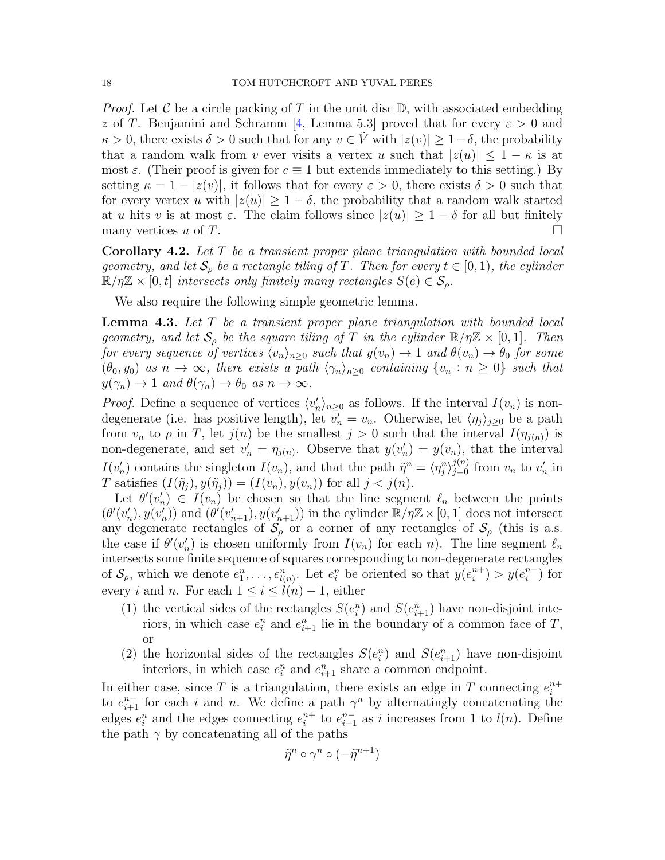*Proof.* Let C be a circle packing of T in the unit disc  $\mathbb{D}$ , with associated embedding z of T. Benjamini and Schramm [\[4,](#page-20-9) Lemma 5.3] proved that for every  $\varepsilon > 0$  and  $\kappa > 0$ , there exists  $\delta > 0$  such that for any  $v \in V$  with  $|z(v)| \geq 1-\delta$ , the probability that a random walk from v ever visits a vertex u such that  $|z(u)| \leq 1 - \kappa$  is at most  $\varepsilon$ . (Their proof is given for  $c \equiv 1$  but extends immediately to this setting.) By setting  $\kappa = 1 - |z(v)|$ , it follows that for every  $\varepsilon > 0$ , there exists  $\delta > 0$  such that for every vertex u with  $|z(u)| \geq 1-\delta$ , the probability that a random walk started at u hits v is at most  $\varepsilon$ . The claim follows since  $|z(u)| \geq 1 - \delta$  for all but finitely many vertices u of T. many vertices  $u$  of  $T$ .

**Corollary 4.2.** Let  $T$  be a transient proper plane triangulation with bounded local geometry, and let  $\mathcal{S}_{\rho}$  be a rectangle tiling of T. Then for every  $t \in [0,1)$ , the cylinder  $\mathbb{R}/\eta\mathbb{Z} \times [0,t]$  intersects only finitely many rectangles  $S(e) \in \mathcal{S}_o$ .

We also require the following simple geometric lemma.

<span id="page-17-0"></span>**Lemma 4.3.** Let  $T$  be a transient proper plane triangulation with bounded local geometry, and let  $S_\rho$  be the square tiling of T in the cylinder  $\mathbb{R}/\eta\mathbb{Z} \times [0,1]$ . Then for every sequence of vertices  $\langle v_n \rangle_{n>0}$  such that  $y(v_n) \to 1$  and  $\theta(v_n) \to \theta_0$  for some  $(\theta_0, y_0)$  as  $n \to \infty$ , there exists a path  $\langle \gamma_n \rangle_{n>0}$  containing  $\{v_n : n \geq 0\}$  such that  $y(\gamma_n) \to 1$  and  $\theta(\gamma_n) \to \theta_0$  as  $n \to \infty$ .

*Proof.* Define a sequence of vertices  $\langle v'_n \rangle_{n \geq 0}$  as follows. If the interval  $I(v_n)$  is nondegenerate (i.e. has positive length), let  $v'_n = v_n$ . Otherwise, let  $\langle \eta_j \rangle_{j \geq 0}$  be a path from  $v_n$  to  $\rho$  in T, let  $j(n)$  be the smallest  $j > 0$  such that the interval  $I(\eta_{j(n)})$  is non-degenerate, and set  $v'_n = \eta_{j(n)}$ . Observe that  $y(v'_n) = y(v_n)$ , that the interval  $I(v'_n)$  contains the singleton  $I(v_n)$ , and that the path  $\tilde{\eta}^n = \langle \eta^n_j \rangle_{j=0}^{j(n)}$  from  $v_n$  to  $v'_n$  in T satisfies  $(I(\tilde{\eta}_i), y(\tilde{\eta}_i)) = (I(v_n), y(v_n))$  for all  $j < j(n)$ .

Let  $\theta'(v'_n) \in I(v_n)$  be chosen so that the line segment  $\ell_n$  between the points  $(\theta'(v'_n), y(v'_n))$  and  $(\theta'(v'_{n+1}), y(v'_{n+1}))$  in the cylinder  $\mathbb{R}/\eta\mathbb{Z}\times[0, 1]$  does not intersect any degenerate rectangles of  $S_\rho$  or a corner of any rectangles of  $S_\rho$  (this is a.s. the case if  $\theta'(v'_n)$  is chosen uniformly from  $I(v_n)$  for each n). The line segment  $\ell_n$ intersects some finite sequence of squares corresponding to non-degenerate rectangles of  $S_\rho$ , which we denote  $e_1^n, \ldots, e_{l(n)}^n$ . Let  $e_i^n$  be oriented so that  $y(e_i^{n+1})$  $\binom{n+1}{i} > y(e_i^{n-1})$  $i^{n-}$ ) for every i and n. For each  $1 \leq i \leq l(n) - 1$ , either

- (1) the vertical sides of the rectangles  $S(e_i^n)$  and  $S(e_{i+1}^n)$  have non-disjoint interiors, in which case  $e_i^n$  and  $e_{i+1}^n$  lie in the boundary of a common face of T, or
- (2) the horizontal sides of the rectangles  $S(e_i^n)$  and  $S(e_{i+1}^n)$  have non-disjoint interiors, in which case  $e_i^n$  and  $e_{i+1}^n$  share a common endpoint.

In either case, since T is a triangulation, there exists an edge in T connecting  $e_i^{n+1}$ i to  $e_{i+1}^{n-}$  for each i and n. We define a path  $\gamma^n$  by alternatingly concatenating the edges  $e_i^n$  and the edges connecting  $e_i^{n+1}$  $i^{n+}$  to  $e_{i+1}^{n-}$  as i increases from 1 to  $l(n)$ . Define the path  $\gamma$  by concatenating all of the paths

$$
\tilde{\eta}^n \circ \gamma^n \circ (-\tilde{\eta}^{n+1})
$$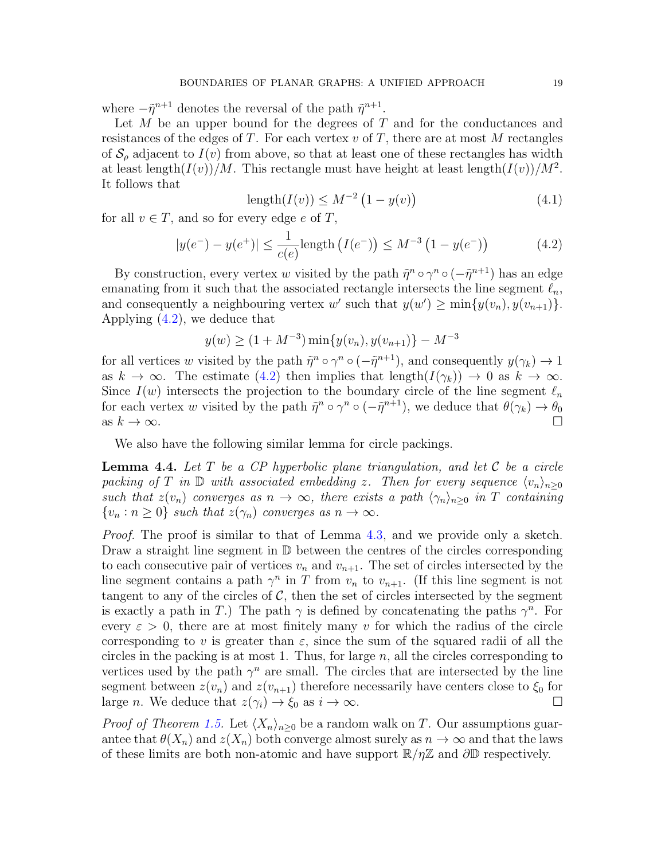where  $-\tilde{\eta}^{n+1}$  denotes the reversal of the path  $\tilde{\eta}^{n+1}$ .

Let  $M$  be an upper bound for the degrees of  $T$  and for the conductances and resistances of the edges of T. For each vertex  $v$  of T, there are at most M rectangles of  $S_\rho$  adjacent to  $I(v)$  from above, so that at least one of these rectangles has width at least length $(I(v))/M$ . This rectangle must have height at least length $(I(v))/M^2$ . It follows that

$$
length(I(v)) \leq M^{-2} \left(1 - y(v)\right) \tag{4.1}
$$

for all  $v \in T$ , and so for every edge e of T,

<span id="page-18-0"></span>
$$
|y(e^{-}) - y(e^{+})| \le \frac{1}{c(e)} \text{length} \left( I(e^{-}) \right) \le M^{-3} \left( 1 - y(e^{-}) \right) \tag{4.2}
$$

By construction, every vertex w visited by the path  $\tilde{\eta}^n \circ \gamma^n \circ (-\tilde{\eta}^{n+1})$  has an edge emanating from it such that the associated rectangle intersects the line segment  $\ell_n$ , and consequently a neighbouring vertex w' such that  $y(w') \ge \min\{y(v_n), y(v_{n+1})\}.$ Applying [\(4.2\)](#page-18-0), we deduce that

$$
y(w) \ge (1 + M^{-3}) \min\{y(v_n), y(v_{n+1})\} - M^{-3}
$$

for all vertices w visited by the path  $\tilde{\eta}^n \circ \gamma^n \circ (-\tilde{\eta}^{n+1})$ , and consequently  $y(\gamma_k) \to 1$ as  $k \to \infty$ . The estimate [\(4.2\)](#page-18-0) then implies that length( $I(\gamma_k)$ )  $\to 0$  as  $k \to \infty$ . Since  $I(w)$  intersects the projection to the boundary circle of the line segment  $\ell_n$ for each vertex w visited by the path  $\tilde{\eta}^n \circ \gamma^n \circ (-\tilde{\eta}^{n+1})$ , we deduce that  $\theta(\gamma_k) \to \theta_0$ as  $k \to \infty$ .

We also have the following similar lemma for circle packings.

<span id="page-18-1"></span>**Lemma 4.4.** Let T be a CP hyperbolic plane triangulation, and let C be a circle packing of T in  $\mathbb D$  with associated embedding z. Then for every sequence  $\langle v_n \rangle_{n\geq 0}$ such that  $z(v_n)$  converges as  $n \to \infty$ , there exists a path  $\langle \gamma_n \rangle_{n>0}$  in T containing  $\{v_n : n \geq 0\}$  such that  $z(\gamma_n)$  converges as  $n \to \infty$ .

Proof. The proof is similar to that of Lemma [4.3,](#page-17-0) and we provide only a sketch. Draw a straight line segment in D between the centres of the circles corresponding to each consecutive pair of vertices  $v_n$  and  $v_{n+1}$ . The set of circles intersected by the line segment contains a path  $\gamma^n$  in T from  $v_n$  to  $v_{n+1}$ . (If this line segment is not tangent to any of the circles of  $\mathcal{C}$ , then the set of circles intersected by the segment is exactly a path in T.) The path  $\gamma$  is defined by concatenating the paths  $\gamma^n$ . For every  $\varepsilon > 0$ , there are at most finitely many v for which the radius of the circle corresponding to v is greater than  $\varepsilon$ , since the sum of the squared radii of all the circles in the packing is at most 1. Thus, for large  $n$ , all the circles corresponding to vertices used by the path  $\gamma^n$  are small. The circles that are intersected by the line segment between  $z(v_n)$  and  $z(v_{n+1})$  therefore necessarily have centers close to  $\xi_0$  for large *n*. We deduce that  $z(\gamma_i) \to \xi_0$  as  $i \to \infty$ .

*Proof of Theorem [1.5.](#page-5-0)* Let  $\langle X_n \rangle_{n>0}$  be a random walk on T. Our assumptions guarantee that  $\theta(X_n)$  and  $z(X_n)$  both converge almost surely as  $n \to \infty$  and that the laws of these limits are both non-atomic and have support  $\mathbb{R}/\eta\mathbb{Z}$  and  $\partial\mathbb{D}$  respectively.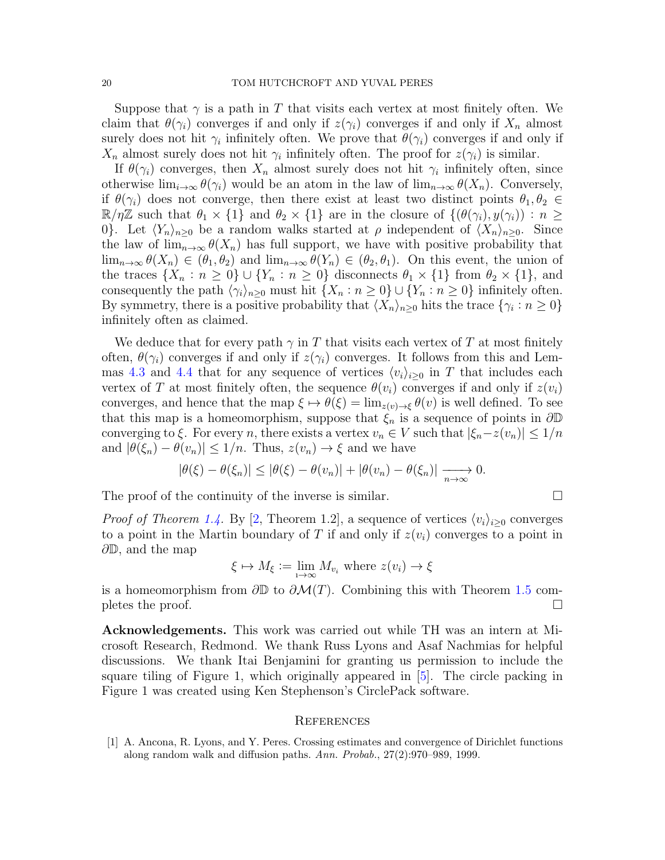Suppose that  $\gamma$  is a path in T that visits each vertex at most finitely often. We claim that  $\theta(\gamma_i)$  converges if and only if  $z(\gamma_i)$  converges if and only if  $X_n$  almost surely does not hit  $\gamma_i$  infinitely often. We prove that  $\theta(\gamma_i)$  converges if and only if  $X_n$  almost surely does not hit  $\gamma_i$  infinitely often. The proof for  $z(\gamma_i)$  is similar.

If  $\theta(\gamma_i)$  converges, then  $X_n$  almost surely does not hit  $\gamma_i$  infinitely often, since otherwise  $\lim_{i\to\infty}\theta(\gamma_i)$  would be an atom in the law of  $\lim_{n\to\infty}\theta(X_n)$ . Conversely, if  $\theta(\gamma_i)$  does not converge, then there exist at least two distinct points  $\theta_1, \theta_2 \in$  $\mathbb{R}/\eta\mathbb{Z}$  such that  $\theta_1 \times \{1\}$  and  $\theta_2 \times \{1\}$  are in the closure of  $\{(\theta(\gamma_i), y(\gamma_i)) : n \geq 1\}$ 0}. Let  $\langle Y_n \rangle_{n>0}$  be a random walks started at  $\rho$  independent of  $\langle X_n \rangle_{n>0}$ . Since the law of  $\lim_{n\to\infty}\theta(X_n)$  has full support, we have with positive probability that  $\lim_{n\to\infty}\theta(X_n)\in(\theta_1,\theta_2)$  and  $\lim_{n\to\infty}\theta(Y_n)\in(\theta_2,\theta_1)$ . On this event, the union of the traces  $\{X_n : n \geq 0\} \cup \{Y_n : n \geq 0\}$  disconnects  $\theta_1 \times \{1\}$  from  $\theta_2 \times \{1\}$ , and consequently the path  $\langle \gamma_i \rangle_{n \geq 0}$  must hit  $\{X_n : n \geq 0\} \cup \{Y_n : n \geq 0\}$  infinitely often. By symmetry, there is a positive probability that  $\langle X_n \rangle_{n\geq 0}$  hits the trace  $\{\gamma_i : n \geq 0\}$ infinitely often as claimed.

We deduce that for every path  $\gamma$  in T that visits each vertex of T at most finitely often,  $\theta(\gamma_i)$  converges if and only if  $z(\gamma_i)$  converges. It follows from this and Lem-mas [4.3](#page-17-0) and [4.4](#page-18-1) that for any sequence of vertices  $\langle v_i \rangle_{i>0}$  in T that includes each vertex of T at most finitely often, the sequence  $\theta(v_i)$  converges if and only if  $z(v_i)$ converges, and hence that the map  $\xi \mapsto \theta(\xi) = \lim_{z(v) \to \xi} \theta(v)$  is well defined. To see that this map is a homeomorphism, suppose that  $\xi_n$  is a sequence of points in  $\partial \mathbb{D}$ converging to  $\xi$ . For every n, there exists a vertex  $v_n \in V$  such that  $|\xi_n - z(v_n)| \leq 1/n$ and  $|\theta(\xi_n) - \theta(v_n)| \leq 1/n$ . Thus,  $z(v_n) \to \xi$  and we have

$$
|\theta(\xi) - \theta(\xi_n)| \leq |\theta(\xi) - \theta(v_n)| + |\theta(v_n) - \theta(\xi_n)| \xrightarrow[n \to \infty]{} 0.
$$

The proof of the continuity of the inverse is similar.  $\Box$ 

*Proof of Theorem [1.4.](#page-4-1)* By [\[2,](#page-20-1) Theorem 1.2], a sequence of vertices  $\langle v_i \rangle_{i>0}$  converges to a point in the Martin boundary of T if and only if  $z(v_i)$  converges to a point in  $\partial\mathbb{D}$ , and the map

$$
\xi \mapsto M_{\xi} := \lim_{i \to \infty} M_{v_i} \text{ where } z(v_i) \to \xi
$$

is a homeomorphism from  $\partial \mathbb{D}$  to  $\partial \mathcal{M}(T)$ . Combining this with Theorem [1.5](#page-5-0) com-<br>pletes the proof. pletes the proof.

Acknowledgements. This work was carried out while TH was an intern at Microsoft Research, Redmond. We thank Russ Lyons and Asaf Nachmias for helpful discussions. We thank Itai Benjamini for granting us permission to include the square tiling of Figure 1, which originally appeared in [\[5\]](#page-20-3). The circle packing in Figure 1 was created using Ken Stephenson's CirclePack software.

#### **REFERENCES**

<span id="page-19-0"></span>[1] A. Ancona, R. Lyons, and Y. Peres. Crossing estimates and convergence of Dirichlet functions along random walk and diffusion paths. Ann. Probab., 27(2):970–989, 1999.